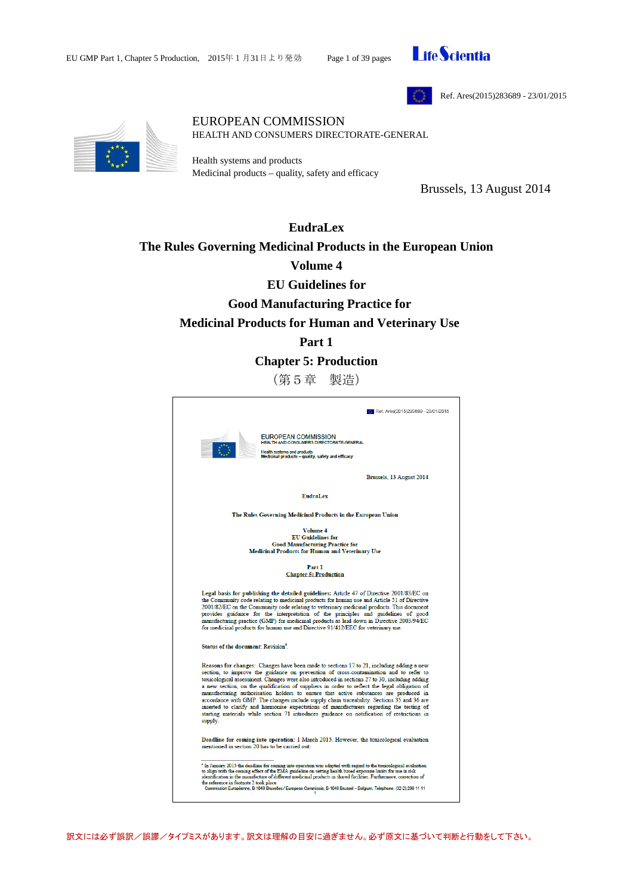



Ref. Ares(2015)283689 - 23/01/2015



#### EUROPEAN COMMISSION HEALTH AND CONSUMERS DIRECTORATE-GENERAL

Health systems and products Medicinal products – quality, safety and efficacy

Brussels, 13 August 2014

# **EudraLex The Rules Governing Medicinal Products in the European Union Volume 4 EU Guidelines for Good Manufacturing Practice for Medicinal Products for Human and Veterinary Use**

# **Part 1**

**Chapter 5: Production**

(第5章 製造)

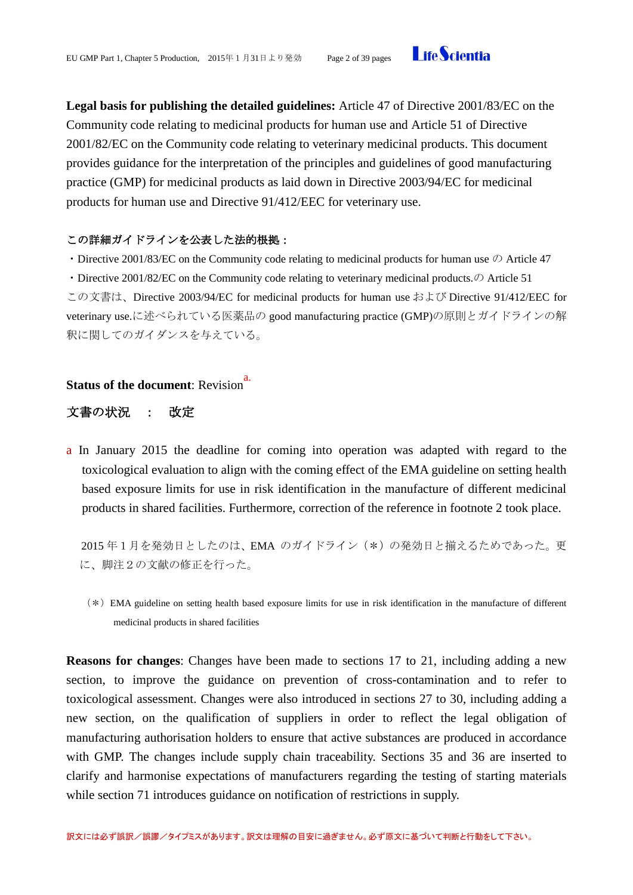

**Legal basis for publishing the detailed guidelines:** Article 47 of Directive 2001/83/EC on the Community code relating to medicinal products for human use and Article 51 of Directive 2001/82/EC on the Community code relating to veterinary medicinal products. This document provides guidance for the interpretation of the principles and guidelines of good manufacturing practice (GMP) for medicinal products as laid down in Directive 2003/94/EC for medicinal products for human use and Directive 91/412/EEC for veterinary use.

# この詳細ガイドラインを公表した法的根拠:

・Directive 2001/83/EC on the Community code relating to medicinal products for human use の Article 47

• Directive 2001/82/EC on the Community code relating to veterinary medicinal products. $\mathcal{D}$  Article 51

この文書は、Directive 2003/94/EC for medicinal products for human use および Directive 91/412/EEC for veterinary use.に述べられている医薬品の good manufacturing practice (GMP)の原則とガイドラインの解 釈に関してのガイダンスを与えている。

# **Status of the document: Revision**<sup>a.</sup>

# 文書の状況 : 改定

a In January 2015 the deadline for coming into operation was adapted with regard to the toxicological evaluation to align with the coming effect of the EMA guideline on setting health based exposure limits for use in risk identification in the manufacture of different medicinal products in shared facilities. Furthermore, correction of the reference in footnote 2 took place.

2015 年1月を発効日としたのは、EMA のガイドライン(\*)の発効日と揃えるためであった。更 に、脚注2の文献の修正を行った。

(\*)EMA guideline on setting health based exposure limits for use in risk identification in the manufacture of different medicinal products in shared facilities

**Reasons for changes**: Changes have been made to sections 17 to 21, including adding a new section, to improve the guidance on prevention of cross-contamination and to refer to toxicological assessment. Changes were also introduced in sections 27 to 30, including adding a new section, on the qualification of suppliers in order to reflect the legal obligation of manufacturing authorisation holders to ensure that active substances are produced in accordance with GMP. The changes include supply chain traceability. Sections 35 and 36 are inserted to clarify and harmonise expectations of manufacturers regarding the testing of starting materials while section 71 introduces guidance on notification of restrictions in supply.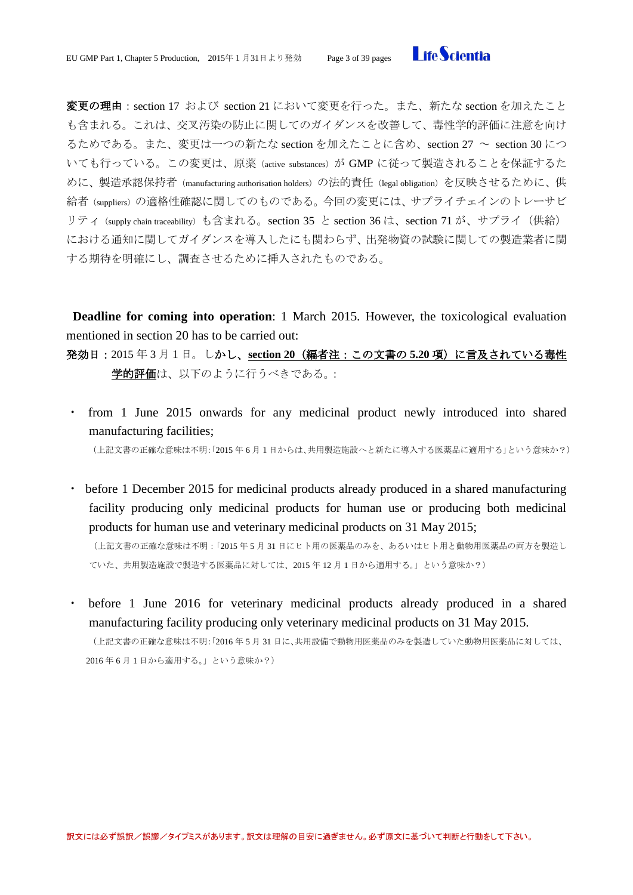**I** ifeScientia

変更の理由:section 17 および section 21 において変更を行った。また、新たな section を加えたこと も含まれる。これは、交叉汚染の防止に関してのガイダンスを改善して、毒性学的評価に注意を向け るためである。また、変更は一つの新たな section を加えたことに含め、section 27 ~ section 30 につ いても行っている。この変更は、原薬(active substances)が GMP に従って製造されることを保証するた めに、製造承認保持者 (manufacturing authorisation holders) の法的責任 (legal obligation) を反映させるために、供 給者(suppliers)の適格性確認に関してのものである。今回の変更には、サプライチェインのトレーサビ リティ(supply chain traceability)も含まれる。section 35 と section 36 は、section 71 が、サプライ(供給) における通知に関してガイダンスを導入したにも関わらず、出発物資の試験に関しての製造業者に関 する期待を明確にし、調査させるために挿入されたものである。

**Deadline for coming into operation**: 1 March 2015. However, the toxicological evaluation mentioned in section 20 has to be carried out:

発効日:2015 年 3 月1日。しかし、**section 20**(編者注:この文書の **5.20** 項)に言及されている毒性 学的評価は、以下のように行うべきである。:

- from 1 June 2015 onwards for any medicinal product newly introduced into shared manufacturing facilities; (上記文書の正確な意味は不明:「2015 年 6 月1日からは、共用製造施設へと新たに導入する医薬品に適用する」という意味か?)
- before 1 December 2015 for medicinal products already produced in a shared manufacturing facility producing only medicinal products for human use or producing both medicinal products for human use and veterinary medicinal products on 31 May 2015;

(上記文書の正確な意味は不明:「2015 年 5 月 31 日にヒト用の医薬品のみを、あるいはヒト用と動物用医薬品の両方を製造し ていた、共用製造施設で製造する医薬品に対しては、2015 年 12 月 1 日から適用する。」という意味か?)

・ before 1 June 2016 for veterinary medicinal products already produced in a shared manufacturing facility producing only veterinary medicinal products on 31 May 2015. (上記文書の正確な意味は不明:「2016 年 5 月 31 日に、共用設備で動物用医薬品のみを製造していた動物用医薬品に対しては、

2016 年 6 月 1 日から適用する。」という意味か?)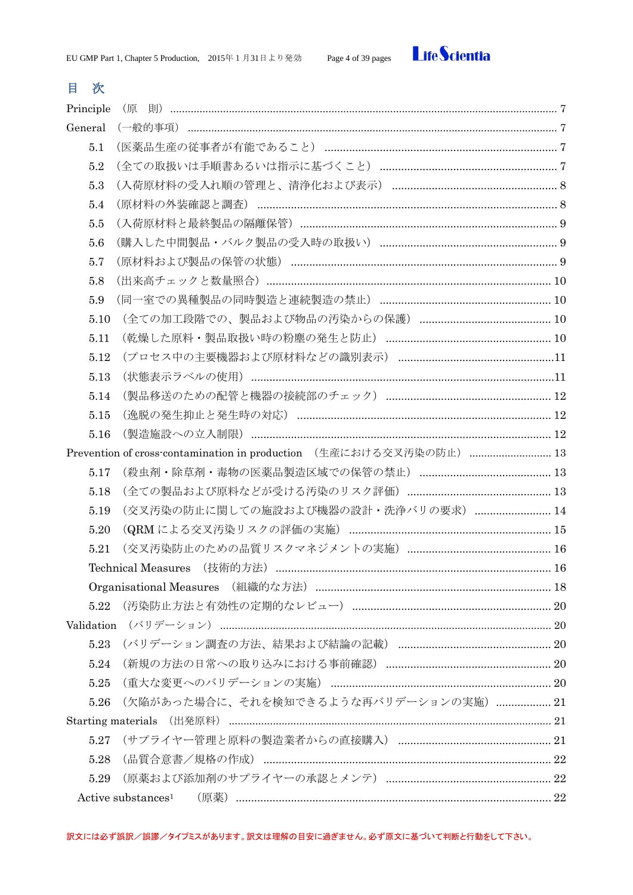

# 目次

| Principle  | (原                                                                             |  |
|------------|--------------------------------------------------------------------------------|--|
| General    |                                                                                |  |
| 5.1        |                                                                                |  |
| 5.2        |                                                                                |  |
| 5.3        |                                                                                |  |
| 5.4        |                                                                                |  |
| 5.5        |                                                                                |  |
| 5.6        |                                                                                |  |
| 5.7        |                                                                                |  |
| 5.8        |                                                                                |  |
| 5.9        |                                                                                |  |
| 5.10       |                                                                                |  |
| 5.11       |                                                                                |  |
| 5.12       |                                                                                |  |
| 5.13       |                                                                                |  |
| 5.14       |                                                                                |  |
| 5.15       |                                                                                |  |
| 5.16       |                                                                                |  |
|            | Prevention of cross-contamination in production (生産における交叉汚染の防止)  13            |  |
| 5.17       |                                                                                |  |
| 5.18       |                                                                                |  |
| 5.19       | (交叉汚染の防止に関しての施設および機器の設計・洗浄バリの要求)  14                                           |  |
| 5.20       |                                                                                |  |
| 5.21       |                                                                                |  |
|            |                                                                                |  |
|            |                                                                                |  |
| 5.22       |                                                                                |  |
| Validation |                                                                                |  |
| 5.23       |                                                                                |  |
| 5.24       |                                                                                |  |
| 5.25       |                                                                                |  |
| 5.26       | (欠陥があった場合に、それを検知できるような再バリデーションの実施)  21                                         |  |
|            |                                                                                |  |
| 5.27       |                                                                                |  |
| 5.28       |                                                                                |  |
| 5.29       |                                                                                |  |
|            | (原薬) ………………………………………………………………………………………… 22<br>$Active$ substances <sup>1</sup> |  |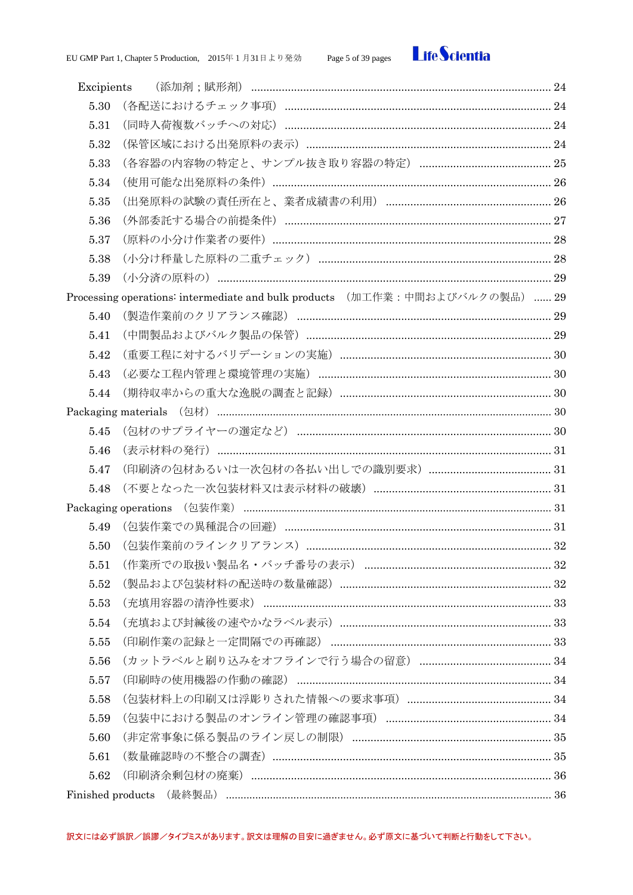

| Excipients |                                                                              |  |  |  |
|------------|------------------------------------------------------------------------------|--|--|--|
| 5.30       |                                                                              |  |  |  |
| 5.31       |                                                                              |  |  |  |
| 5.32       |                                                                              |  |  |  |
| 5.33       |                                                                              |  |  |  |
| 5.34       |                                                                              |  |  |  |
| 5.35       |                                                                              |  |  |  |
| 5.36       |                                                                              |  |  |  |
| 5.37       |                                                                              |  |  |  |
| 5.38       |                                                                              |  |  |  |
| 5.39       |                                                                              |  |  |  |
|            | Processing operations: intermediate and bulk products (加工作業:中間およびバルクの製品)  29 |  |  |  |
| 5.40       |                                                                              |  |  |  |
| 5.41       |                                                                              |  |  |  |
| 5.42       |                                                                              |  |  |  |
| 5.43       |                                                                              |  |  |  |
| 5.44       |                                                                              |  |  |  |
|            |                                                                              |  |  |  |
| 5.45       |                                                                              |  |  |  |
| 5.46       |                                                                              |  |  |  |
| 5.47       |                                                                              |  |  |  |
| 5.48       |                                                                              |  |  |  |
|            |                                                                              |  |  |  |
| 5.49       |                                                                              |  |  |  |
| 5.50       |                                                                              |  |  |  |
| 5.51       |                                                                              |  |  |  |
| 5.52       |                                                                              |  |  |  |
| 5.53       | (充填用容器の清浄性要求) …………………………………………………………………………………………… 33                         |  |  |  |
| 5.54       |                                                                              |  |  |  |
| 5.55       |                                                                              |  |  |  |
| 5.56       |                                                                              |  |  |  |
| 5.57       |                                                                              |  |  |  |
| 5.58       |                                                                              |  |  |  |
| 5.59       |                                                                              |  |  |  |
| 5.60       |                                                                              |  |  |  |
| 5.61       |                                                                              |  |  |  |
| 5.62       |                                                                              |  |  |  |
|            |                                                                              |  |  |  |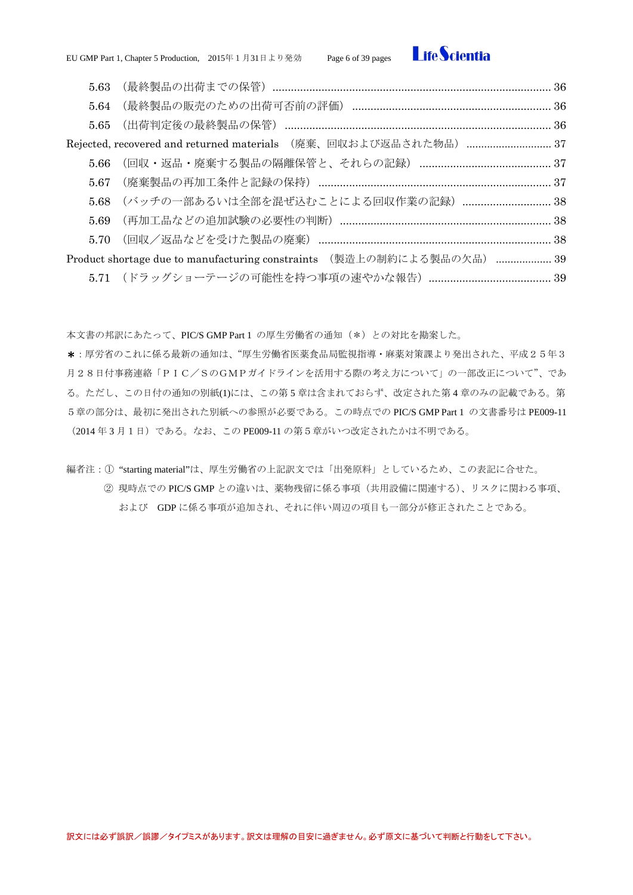

| 5.63 |                                                                        |  |
|------|------------------------------------------------------------------------|--|
|      |                                                                        |  |
|      |                                                                        |  |
|      |                                                                        |  |
|      |                                                                        |  |
|      |                                                                        |  |
|      | 5.68 (バッチの一部あるいは全部を混ぜ込むことによる回収作業の記録)  38                               |  |
| 5.69 |                                                                        |  |
| 5.70 |                                                                        |  |
|      | Product shortage due to manufacturing constraints (製造上の制約による製品の欠品)  39 |  |
|      |                                                                        |  |

本文書の邦訳にあたって、PIC/S GMP Part 1 の厚生労働省の通知(\*)との対比を勘案した。

\*:厚労省のこれに係る最新の通知は、"厚生労働省医薬食品局監視指導・麻薬対策課より発出された、平成25年3 月28日付事務連絡「PIC/SのGMPガイドラインを活用する際の考え方について」の一部改正について"、であ る。ただし、この日付の通知の別紙(1)には、この第 5 章は含まれておらず、改定された第 4 章のみの記載である。第 5章の部分は、最初に発出された別紙への参照が必要である。この時点での PIC/S GMP Part 1 の文書番号は PE009-11 (2014 年 3 月1日)である。なお、この PE009-11 の第5章がいつ改定されたかは不明である。

編者注:① "starting material"は、厚生労働省の上記訳文では「出発原料」としているため、この表記に合せた。

② 現時点での PIC/S GMP との違いは、薬物残留に係る事項(共用設備に関連する)、リスクに関わる事項、 および GDP に係る事項が追加され、それに伴い周辺の項目も一部分が修正されたことである。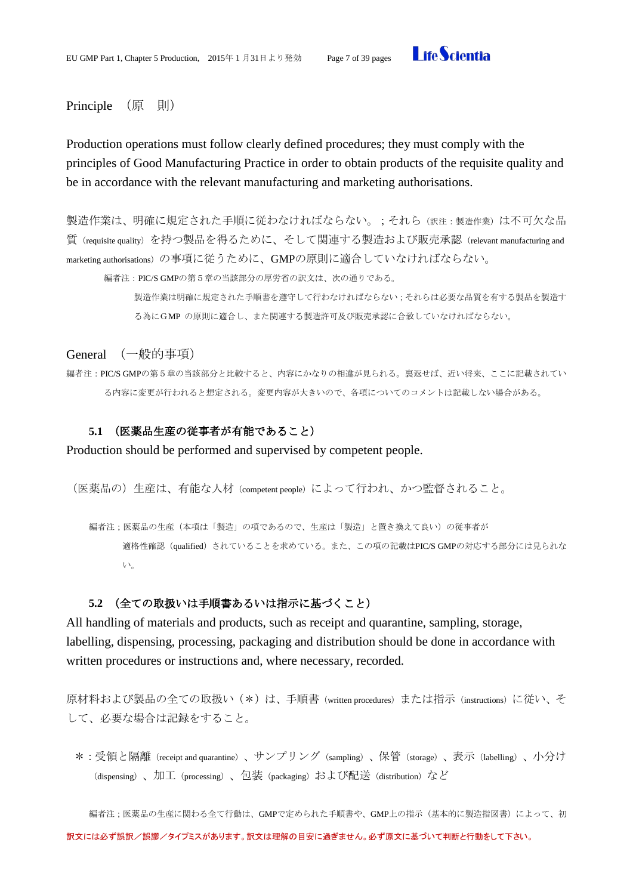

### <span id="page-6-0"></span>Principle (原 則)

Production operations must follow clearly defined procedures; they must comply with the principles of Good Manufacturing Practice in order to obtain products of the requisite quality and be in accordance with the relevant manufacturing and marketing authorisations.

製造作業は、明確に規定された手順に従わなければならない。;それら(訳注:製造作業)は不可欠な品 質(requisite quality)を持つ製品を得るために、そして関連する製造および販売承認(relevant manufacturing and marketing authorisations)の事項に従うために、GMPの原則に適合していなければならない。

編者注:PIC/S GMPの第5章の当該部分の厚労省の訳文は、次の通りである。

製造作業は明確に規定された手順書を遵守して行わなければならない;それらは必要な品質を有する製品を製造す る為にGMP の原則に適合し、また関連する製造許可及び販売承認に合致していなければならない。

<span id="page-6-1"></span>General (一般的事項)

編者注:PIC/S GMPの第5章の当該部分と比較すると、内容にかなりの相違が見られる。裏返せば、近い将来、ここに記載されてい る内容に変更が行われると想定される。変更内容が大きいので、各項についてのコメントは記載しない場合がある。

# <span id="page-6-2"></span>**5.1** (医薬品生産の従事者が有能であること)

Production should be performed and supervised by competent people.

(医薬品の)生産は、有能な人材(competent people)によって行われ、かつ監督されること。

編者注;医薬品の生産(本項は「製造」の項であるので、生産は「製造」と置き換えて良い)の従事者が 適格性確認(qualified)されていることを求めている。また、この項の記載はPIC/S GMPの対応する部分には見られな い。

### **5.2** (全ての取扱いは手順書あるいは指示に基づくこと)

<span id="page-6-3"></span>All handling of materials and products, such as receipt and quarantine, sampling, storage, labelling, dispensing, processing, packaging and distribution should be done in accordance with written procedures or instructions and, where necessary, recorded.

原材料および製品の全ての取扱い(\*)は、手順書(written procedures)または指示(instructions)に従い、そ して、必要な場合は記録をすること。

\*:受領と隔離(receipt and quarantine)、サンプリング(sampling)、保管(storage)、表示(labelling)、小分け (dispensing)、加工(processing)、包装(packaging)および配送(distribution)など

編者注;医薬品の生産に関わる全て行動は、GMPで定められた手順書や、GMP上の指示(基本的に製造指図書)によって、初 訳文には必ず誤訳/誤謬/タイプミスがあります。訳文は理解の目安に過ぎません。必ず原文に基づいて判断と行動をして下さい。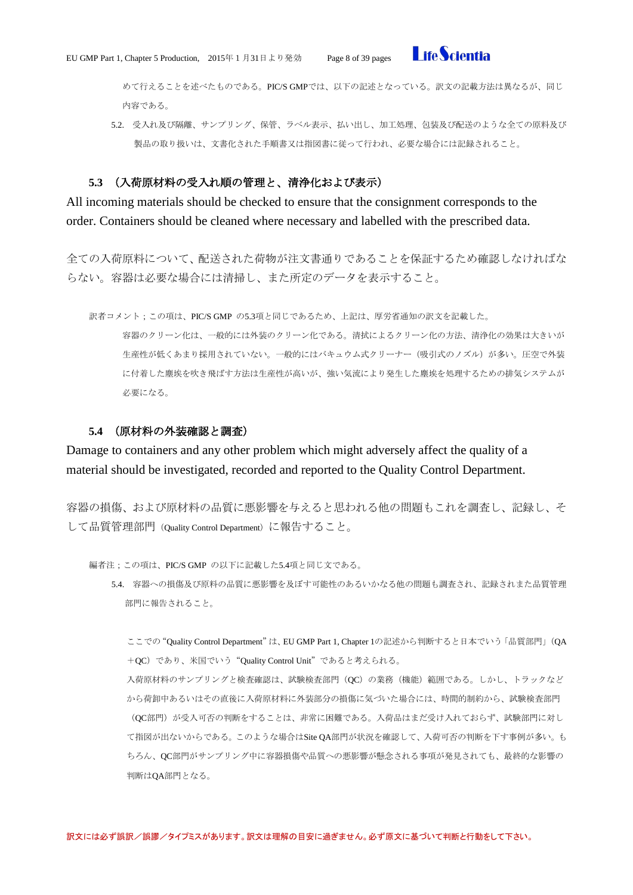

めて行えることを述べたものである。PIC/S GMPでは、以下の記述となっている。訳文の記載方法は異なるが、同じ 内容である。

5.2. 受入れ及び隔離、サンプリング、保管、ラベル表示、払い出し、加工処理、包装及び配送のような全ての原料及び 製品の取り扱いは、文書化された手順書又は指図書に従って行われ、必要な場合には記録されること。

#### **5.3** (入荷原材料の受入れ順の管理と、清浄化および表示)

<span id="page-7-0"></span>All incoming materials should be checked to ensure that the consignment corresponds to the order. Containers should be cleaned where necessary and labelled with the prescribed data.

全ての入荷原料について、配送された荷物が注文書通りであることを保証するため確認しなければな らない。容器は必要な場合には清掃し、また所定のデータを表示すること。

訳者コメント;この項は、PIC/S GMP の5.3項と同じであるため、上記は、厚労省通知の訳文を記載した。

容器のクリーン化は、一般的には外装のクリーン化である。清拭によるクリーン化の方法、清浄化の効果は大きいが 生産性が低くあまり採用されていない。一般的にはバキュウム式クリーナー(吸引式のノズル)が多い。圧空で外装 に付着した塵埃を吹き飛ばす方法は生産性が高いが、強い気流により発生した塵埃を処理するための排気システムが 必要になる。

### **5.4** (原材料の外装確認と調査)

<span id="page-7-1"></span>Damage to containers and any other problem which might adversely affect the quality of a material should be investigated, recorded and reported to the Quality Control Department.

容器の損傷、および原材料の品質に悪影響を与えると思われる他の問題もこれを調査し、記録し、そ して品質管理部門(Quality Control Department)に報告すること。

編者注;この項は、PIC/S GMP の以下に記載した5.4項と同じ文である。

5.4. 容器への損傷及び原料の品質に悪影響を及ぼす可能性のあるいかなる他の問題も調査され、記録されまた品質管理 部門に報告されること。

ここでの"Quality Control Department"は、EU GMP Part 1, Chapter 1の記述から判断すると日本でいう「品質部門」(QA +QC)であり、米国でいう"Quality Control Unit"であると考えられる。

入荷原材料のサンプリングと検査確認は、試験検査部門(QC)の業務(機能)範囲である。しかし、トラックなど から荷卸中あるいはその直後に入荷原材料に外装部分の損傷に気づいた場合には、時間的制約から、試験検査部門 (QC部門)が受入可否の判断をすることは、非常に困難である。入荷品はまだ受け入れておらず、試験部門に対し て指図が出ないからである。このような場合はSite QA部門が状況を確認して、入荷可否の判断を下す事例が多い。も ちろん、QC部門がサンプリング中に容器損傷や品質への悪影響が懸念される事項が発見されても、最終的な影響の 判断はQA部門となる。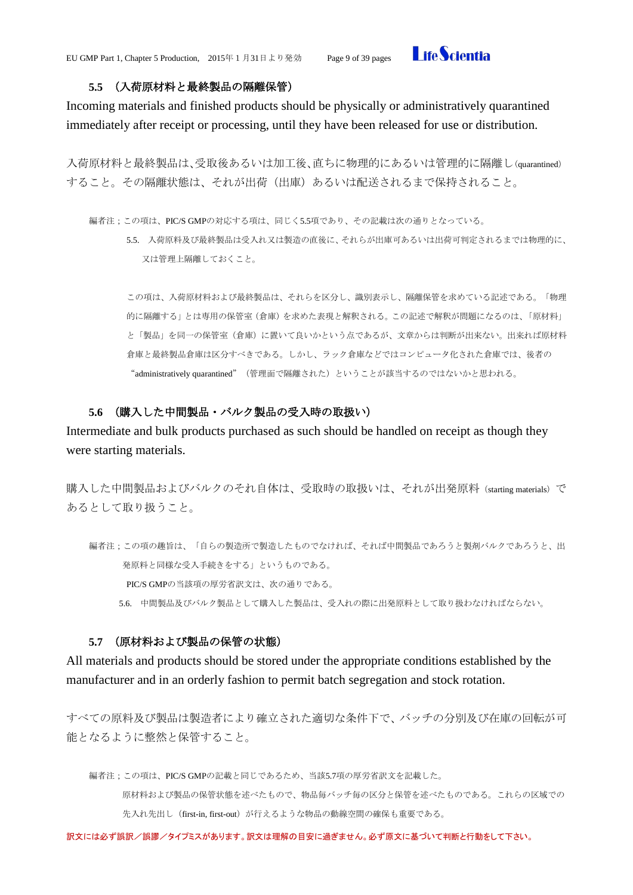

#### **5.5** (入荷原材料と最終製品の隔離保管)

<span id="page-8-0"></span>Incoming materials and finished products should be physically or administratively quarantined immediately after receipt or processing, until they have been released for use or distribution.

入荷原材料と最終製品は、受取後あるいは加工後、直ちに物理的にあるいは管理的に隔離し(quarantined) すること。その隔離状態は、それが出荷(出庫)あるいは配送されるまで保持されること。

編者注;この項は、PIC/S GMPの対応する項は、同じく5.5項であり、その記載は次の通りとなっている。

5.5. 入荷原料及び最終製品は受入れ又は製造の直後に、それらが出庫可あるいは出荷可判定されるまでは物理的に、 又は管理上隔離しておくこと。

この項は、入荷原材料および最終製品は、それらを区分し、識別表示し、隔離保管を求めている記述である。「物理 的に隔離する」とは専用の保管室(倉庫)を求めた表現と解釈される。この記述で解釈が問題になるのは、「原材料」 と「製品」を同一の保管室(倉庫)に置いて良いかという点であるが、文章からは判断が出来ない。出来れば原材料 倉庫と最終製品倉庫は区分すべきである。しかし、ラック倉庫などではコンピュータ化された倉庫では、後者の "administratively quarantined"(管理面で隔離された)ということが該当するのではないかと思われる。

#### **5.6** (購入した中間製品・バルク製品の受入時の取扱い)

<span id="page-8-1"></span>Intermediate and bulk products purchased as such should be handled on receipt as though they were starting materials.

購入した中間製品およびバルクのそれ自体は、受取時の取扱いは、それが出発原料 (starting materials) で あるとして取り扱うこと。

編者注;この項の趣旨は、「自らの製造所で製造したものでなければ、それば中間製品であろうと製剤バルクであろうと、出 発原料と同様な受入手続きをする」というものである。 PIC/S GMPの当該項の厚労省訳文は、次の通りである。 5.6. 中間製品及びバルク製品として購入した製品は、受入れの際に出発原料として取り扱わなければならない。

#### **5.7** (原材料および製品の保管の状態)

<span id="page-8-2"></span>All materials and products should be stored under the appropriate conditions established by the manufacturer and in an orderly fashion to permit batch segregation and stock rotation.

すべての原料及び製品は製造者により確立された適切な条件下で、バッチの分別及び在庫の回転が可 能となるように整然と保管すること。

編者注;この項は、PIC/S GMPの記載と同じであるため、当該5.7項の厚労省訳文を記載した。

原材料および製品の保管状態を述べたもので、物品毎バッチ毎の区分と保管を述べたものである。これらの区域での 先入れ先出し (first-in, first-out) が行えるような物品の動線空間の確保も重要である。

訳文には必ず誤訳/誤謬/タイプミスがあります。訳文は理解の目安に過ぎません。必ず原文に基づいて判断と行動をして下さい。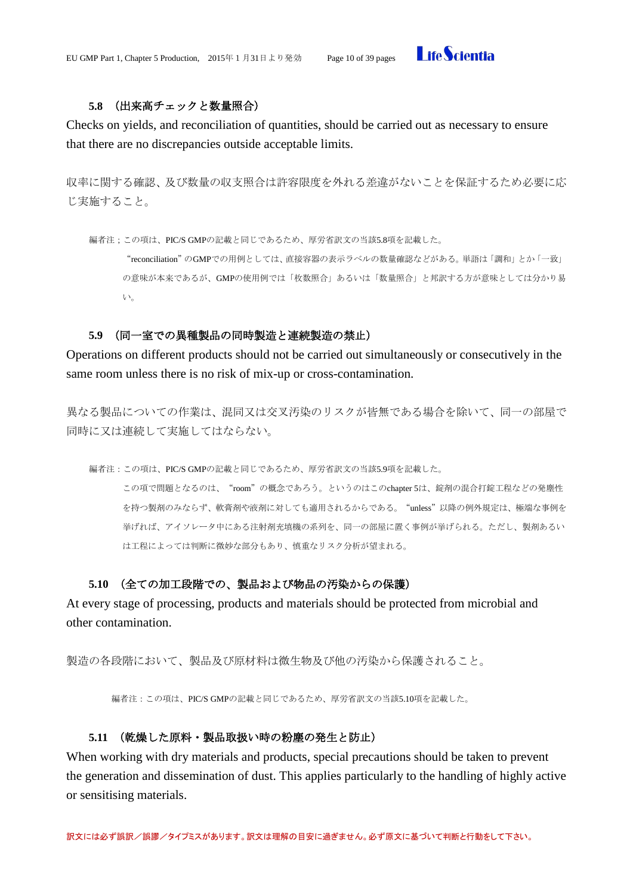

# **5.8** (出来高チェックと数量照合)

<span id="page-9-0"></span>Checks on yields, and reconciliation of quantities, should be carried out as necessary to ensure that there are no discrepancies outside acceptable limits.

収率に関する確認、及び数量の収支照合は許容限度を外れる差違がないことを保証するため必要に応 じ実施すること。

編者注;この項は、PIC/S GMPの記載と同じであるため、厚労省訳文の当該5.8項を記載した。

"reconciliation"のGMPでの用例としては、直接容器の表示ラベルの数量確認などがある。単語は「調和」とか「一致」 の意味が本来であるが、GMPの使用例では「枚数照合」あるいは「数量照合」と邦訳する方が意味としては分かり易 い。

### **5.9** (同一室での異種製品の同時製造と連続製造の禁止)

<span id="page-9-1"></span>Operations on different products should not be carried out simultaneously or consecutively in the same room unless there is no risk of mix-up or cross-contamination.

異なる製品についての作業は、混同又は交叉汚染のリスクが皆無である場合を除いて、同一の部屋で 同時に又は連続して実施してはならない。

編者注:この項は、PIC/S GMPの記載と同じであるため、厚労省訳文の当該5.9項を記載した。

この項で問題となるのは、"room"の概念であろう。というのはこのchapter 5は、錠剤の混合打錠工程などの発塵性 を持つ製剤のみならず、軟膏剤や液剤に対しても適用されるからである。"unless"以降の例外規定は、極端な事例を 挙げれば、アイソレータ中にある注射剤充填機の系列を、同一の部屋に置く事例が挙げられる。ただし、製剤あるい は工程によっては判断に微妙な部分もあり、慎重なリスク分析が望まれる。

### **5.10** (全ての加工段階での、製品および物品の汚染からの保護)

<span id="page-9-2"></span>At every stage of processing, products and materials should be protected from microbial and other contamination.

製造の各段階において、製品及び原材料は微生物及び他の汚染から保護されること。

編者注:この項は、PIC/S GMPの記載と同じであるため、厚労省訳文の当該5.10項を記載した。

### **5.11** (乾燥した原料・製品取扱い時の粉塵の発生と防止)

<span id="page-9-3"></span>When working with dry materials and products, special precautions should be taken to prevent the generation and dissemination of dust. This applies particularly to the handling of highly active or sensitising materials.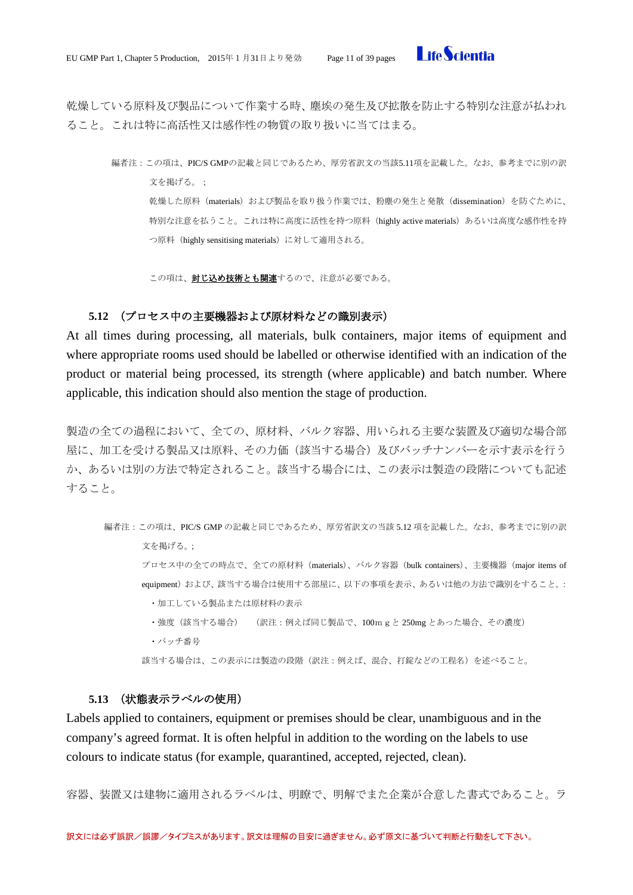

乾燥している原料及び製品について作業する時、塵埃の発生及び拡散を防止する特別な注意が払われ ること。これは特に高活性又は感作性の物質の取り扱いに当てはまる。

編者注:この項は、PIC/S GMPの記載と同じであるため、厚労省訳文の当該5.11項を記載した。なお、参考までに別の訳 文を掲げる。; 乾燥した原料(materials)および製品を取り扱う作業では、粉塵の発生と発散(dissemination)を防ぐために、 特別な注意を払うこと。これは特に高度に活性を持つ原料 (highly active materials) あるいは高度な感作性を持 つ原料(highly sensitising materials)に対して適用される。

この項は、封じ込め技術とも関連するので、注意が必要である。

# **5.12** (プロセス中の主要機器および原材料などの識別表示)

<span id="page-10-0"></span>At all times during processing, all materials, bulk containers, major items of equipment and where appropriate rooms used should be labelled or otherwise identified with an indication of the product or material being processed, its strength (where applicable) and batch number. Where applicable, this indication should also mention the stage of production.

製造の全ての過程において、全ての、原材料、バルク容器、用いられる主要な装置及び適切な場合部 屋に、加工を受ける製品又は原料、その力価(該当する場合)及びバッチナンバーを示す表示を行う か、あるいは別の方法で特定されること。該当する場合には、この表示は製造の段階についても記述 すること。

編者注:この項は、PIC/S GMP の記載と同じであるため、厚労省訳文の当該 5.12 項を記載した。なお、参考までに別の訳 文を掲げる。; プロセス中の全ての時点で、全ての原材料(materials)、バルク容器(bulk containers)、主要機器(major items of equipment)および、該当する場合は使用する部屋に、以下の事項を表示、あるいは他の方法で識別をすること。: ・加工している製品または原材料の表示 ・強度(該当する場合) (訳注:例えば同じ製品で、100mgと 250mg とあった場合、その濃度) ・バッチ番号

該当する場合は、この表示には製造の段階(訳注:例えば、混合、打錠などの工程名)を述べること。

#### **5.13** (状態表示ラベルの使用)

<span id="page-10-1"></span>Labels applied to containers, equipment or premises should be clear, unambiguous and in the company's agreed format. It is often helpful in addition to the wording on the labels to use colours to indicate status (for example, quarantined, accepted, rejected, clean).

容器、装置又は建物に適用されるラベルは、明瞭で、明解でまた企業が合意した書式であること。ラ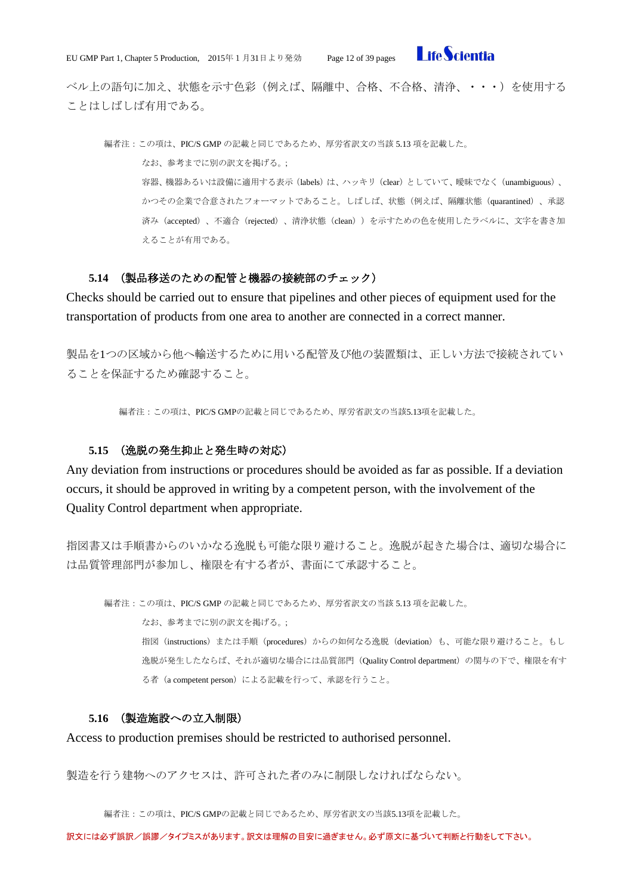

ベル上の語句に加え、状態を示す色彩(例えば、隔離中、合格、不合格、清浄、・・・)を使用する ことはしばしば有用である。

編者注:この項は、PIC/S GMP の記載と同じであるため、厚労省訳文の当該 5.13 項を記載した。 なお、参考までに別の訳文を掲げる。; 容器、機器あるいは設備に適用する表示(labels)は、ハッキリ (clear) としていて、曖昧でなく(unambiguous)、 かつその企業で合意されたフォーマットであること。しばしば、状態(例えば、隔離状態(quarantined)、承認 済み(accepted)、不適合(rejected)、清浄状態(clean))を示すための色を使用したラベルに、文字を書き加 えることが有用である。

#### **5.14** (製品移送のための配管と機器の接続部のチェック)

<span id="page-11-0"></span>Checks should be carried out to ensure that pipelines and other pieces of equipment used for the transportation of products from one area to another are connected in a correct manner.

製品を1つの区域から他へ輸送するために用いる配管及び他の装置類は、正しい方法で接続されてい ることを保証するため確認すること。

編者注:この項は、PIC/S GMPの記載と同じであるため、厚労省訳文の当該5.13項を記載した。

#### **5.15** (逸脱の発生抑止と発生時の対応)

<span id="page-11-1"></span>Any deviation from instructions or procedures should be avoided as far as possible. If a deviation occurs, it should be approved in writing by a competent person, with the involvement of the Quality Control department when appropriate.

指図書又は手順書からのいかなる逸脱も可能な限り避けること。逸脱が起きた場合は、適切な場合に は品質管理部門が参加し、権限を有する者が、書面にて承認すること。

編者注:この項は、PIC/S GMP の記載と同じであるため、厚労省訳文の当該 5.13 項を記載した。 なお、参考までに別の訳文を掲げる。; 指図(instructions)または手順(procedures)からの如何なる逸脱(deviation)も、可能な限り避けること。もし 逸脱が発生したならば、それが適切な場合には品質部門(Quality Control department)の関与の下で、権限を有す る者 (a competent person) による記載を行って、承認を行うこと。

#### **5.16** (製造施設への立入制限)

<span id="page-11-2"></span>Access to production premises should be restricted to authorised personnel.

製造を行う建物へのアクセスは、許可された者のみに制限しなければならない。

編者注:この項は、PIC/S GMPの記載と同じであるため、厚労省訳文の当該5.13項を記載した。

訳文には必ず誤訳/誤謬/タイプミスがあります。訳文は理解の目安に過ぎません。必ず原文に基づいて判断と行動をして下さい。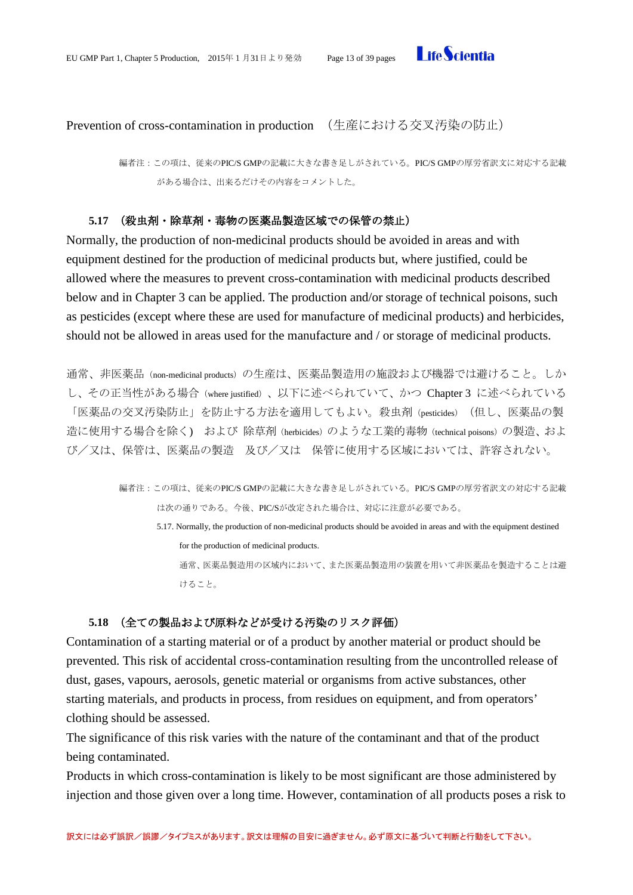

<span id="page-12-0"></span>Prevention of cross-contamination in production (生産における交叉汚染の防止)

編者注:この項は、従来のPIC/S GMPの記載に大きな書き足しがされている。PIC/S GMPの厚労省訳文に対応する記載 がある場合は、出来るだけその内容をコメントした。

#### **5.17** (殺虫剤・除草剤・毒物の医薬品製造区域での保管の禁止)

<span id="page-12-1"></span>Normally, the production of non-medicinal products should be avoided in areas and with equipment destined for the production of medicinal products but, where justified, could be allowed where the measures to prevent cross-contamination with medicinal products described below and in Chapter 3 can be applied. The production and/or storage of technical poisons, such as pesticides (except where these are used for manufacture of medicinal products) and herbicides, should not be allowed in areas used for the manufacture and / or storage of medicinal products.

通常、非医薬品(non-medicinal products)の生産は、医薬品製造用の施設および機器では避けること。しか し、その正当性がある場合(where justified)、以下に述べられていて、かつ Chapter 3 に述べられている 「医薬品の交叉汚染防止」を防止する方法を適用してもよい。殺虫剤(pesticides) (但し、医薬品の製 造に使用する場合を除く) および 除草剤 (herbicides) のような工業的毒物 (technical poisons) の製造、およ び/又は、保管は、医薬品の製造 及び/又は 保管に使用する区域においては、許容されない。

> 編者注:この項は、従来のPIC/S GMPの記載に大きな書き足しがされている。PIC/S GMPの厚労省訳文の対応する記載 は次の通りである。今後、PIC/Sが改定された場合は、対応に注意が必要である。 5.17. Normally, the production of non-medicinal products should be avoided in areas and with the equipment destined for the production of medicinal products. 通常、医薬品製造用の区域内において、また医薬品製造用の装置を用いて非医薬品を製造することは避 けること。

# **5.18** (全ての製品および原料などが受ける汚染のリスク評価)

<span id="page-12-2"></span>Contamination of a starting material or of a product by another material or product should be prevented. This risk of accidental cross-contamination resulting from the uncontrolled release of dust, gases, vapours, aerosols, genetic material or organisms from active substances, other starting materials, and products in process, from residues on equipment, and from operators' clothing should be assessed.

The significance of this risk varies with the nature of the contaminant and that of the product being contaminated.

Products in which cross-contamination is likely to be most significant are those administered by injection and those given over a long time. However, contamination of all products poses a risk to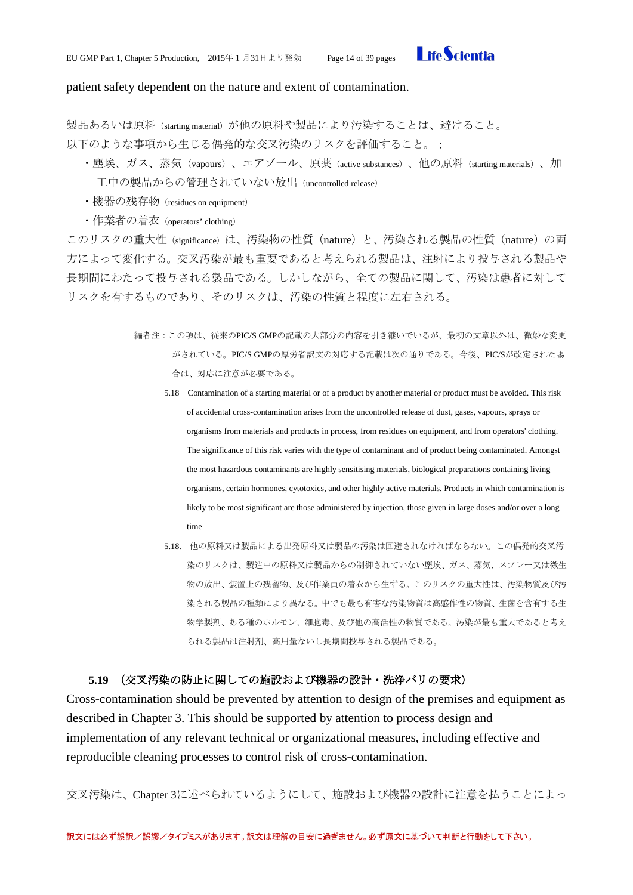

#### patient safety dependent on the nature and extent of contamination.

製品あるいは原料(starting material)が他の原料や製品により汚染することは、避けること。 以下のような事項から生じる偶発的な交叉汚染のリスクを評価すること。;

- ・塵埃、ガス、蒸気(vapours)、エアゾール、原薬(active substances)、他の原料(starting materials)、加 工中の製品からの管理されていない放出(uncontrolled release)
- ・機器の残存物(residues on equipment)
- ・作業者の着衣(operators' clothing)

このリスクの重大性 (significance) は、汚染物の性質 (nature) と、汚染される製品の性質 (nature) の両 方によって変化する。交叉汚染が最も重要であると考えられる製品は、注射により投与される製品や 長期間にわたって投与される製品である。しかしながら、全ての製品に関して、汚染は患者に対して リスクを有するものであり、そのリスクは、汚染の性質と程度に左右される。

- 編者注:この項は、従来のPIC/S GMPの記載の大部分の内容を引き継いでいるが、最初の文章以外は、微妙な変更 がされている。PIC/S GMPの厚労省訳文の対応する記載は次の通りである。今後、PIC/Sが改定された場 合は、対応に注意が必要である。
	- 5.18 Contamination of a starting material or of a product by another material or product must be avoided. This risk of accidental cross-contamination arises from the uncontrolled release of dust, gases, vapours, sprays or organisms from materials and products in process, from residues on equipment, and from operators' clothing. The significance of this risk varies with the type of contaminant and of product being contaminated. Amongst the most hazardous contaminants are highly sensitising materials, biological preparations containing living organisms, certain hormones, cytotoxics, and other highly active materials. Products in which contamination is likely to be most significant are those administered by injection, those given in large doses and/or over a long time
	- 5.18. 他の原料又は製品による出発原料又は製品の汚染は回避されなければならない。この偶発的交叉汚 染のリスクは、製造中の原料又は製品からの制御されていない塵埃、ガス、蒸気、スプレー又は微生 物の放出、装置上の残留物、及び作業員の着衣から生ずる。このリスクの重大性は、汚染物質及び汚 染される製品の種類により異なる。中でも最も有害な汚染物質は高感作性の物質、生菌を含有する生 物学製剤、ある種のホルモン、細胞毒、及び他の高活性の物質である。汚染が最も重大であると考え られる製品は注射剤、高用量ないし長期間投与される製品である。

#### **5.19** (交叉汚染の防止に関しての施設および機器の設計・洗浄バリの要求)

<span id="page-13-0"></span>Cross-contamination should be prevented by attention to design of the premises and equipment as described in Chapter 3. This should be supported by attention to process design and implementation of any relevant technical or organizational measures, including effective and reproducible cleaning processes to control risk of cross-contamination.

交叉汚染は、Chapter 3に述べられているようにして、施設および機器の設計に注意を払うことによっ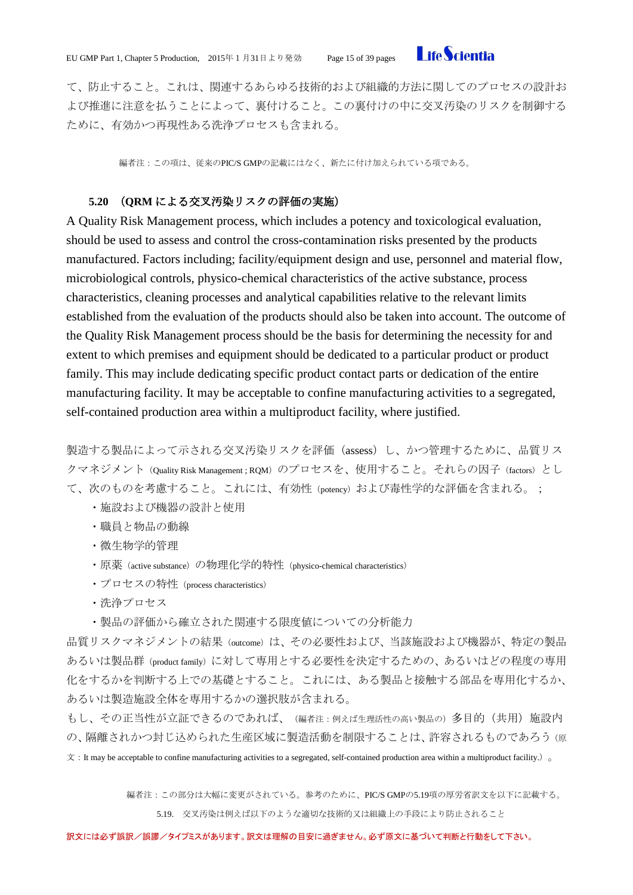

て、防止すること。これは、関連するあらゆる技術的および組織的方法に関してのプロセスの設計お よび推進に注意を払うことによって、裏付けること。この裏付けの中に交叉汚染のリスクを制御する ために、有効かつ再現性ある洗浄プロセスも含まれる。

編者注:この項は、従来のPIC/S GMPの記載にはなく、新たに付け加えられている項である。

#### **5.20** (**QRM** による交叉汚染リスクの評価の実施)

<span id="page-14-0"></span>A Quality Risk Management process, which includes a potency and toxicological evaluation, should be used to assess and control the cross-contamination risks presented by the products manufactured. Factors including; facility/equipment design and use, personnel and material flow, microbiological controls, physico-chemical characteristics of the active substance, process characteristics, cleaning processes and analytical capabilities relative to the relevant limits established from the evaluation of the products should also be taken into account. The outcome of the Quality Risk Management process should be the basis for determining the necessity for and extent to which premises and equipment should be dedicated to a particular product or product family. This may include dedicating specific product contact parts or dedication of the entire manufacturing facility. It may be acceptable to confine manufacturing activities to a segregated, self-contained production area within a multiproduct facility, where justified.

製造する製品によって示される交叉汚染リスクを評価(assess)し、かつ管理するために、品質リス クマネジメント (Quality Risk Management ; RQM)のプロセスを、使用すること。それらの因子 (factors)とし て、次のものを考慮すること。これには、有効性(potency)および毒性学的な評価を含まれる。;

- ・施設および機器の設計と使用
- ・職員と物品の動線
- ・微生物学的管理
- ・原薬(active substance)の物理化学的特性(physico-chemical characteristics)
- ・プロセスの特性 (process characteristics)
- ・洗浄プロセス
- ・製品の評価から確立された関連する限度値についての分析能力

品質リスクマネジメントの結果 (outcome) は、その必要性および、当該施設および機器が、特定の製品 あるいは製品群(product family)に対して専用とする必要性を決定するための、あるいはどの程度の専用 化をするかを判断する上での基礎とすること。これには、ある製品と接触する部品を専用化するか、 あるいは製造施設全体を専用するかの選択肢が含まれる。

もし、その正当性が立証できるのであれば、(編者注:例えば生理活性の高い製品の)多目的(共用)施設内 の、隔離されかつ封じ込められた生産区域に製造活動を制限することは、許容されるものであろう(原  $\dot{\chi}$ : It may be acceptable to confine manufacturing activities to a segregated, self-contained production area within a multiproduct facility.)  $\sigma$ 

編者注:この部分は大幅に変更がされている。参考のために、PIC/S GMPの5.19項の厚労省訳文を以下に記載する。

5.19. 交叉汚染は例えば以下のような適切な技術的又は組織上の手段により防止されること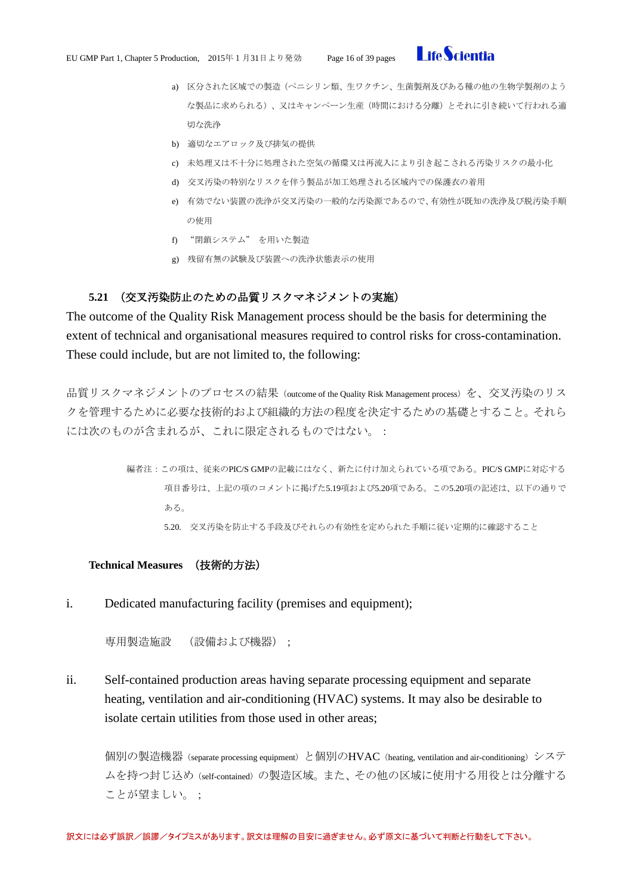

- a) 区分された区域での製造(ペニシリン類、生ワクチン、生菌製剤及びある種の他の生物学製剤のよう な製品に求められる)、又はキャンペーン生産(時間における分離)とそれに引き続いて行われる適 切な洗浄
- b) 適切なエアロック及び排気の提供
- c) 未処理又は不十分に処理された空気の循環又は再流入により引き起こされる汚染リスクの最小化
- d) 交叉汚染の特別なリスクを伴う製品が加工処理される区域内での保護衣の着用
- e) 有効でない装置の洗浄が交叉汚染の一般的な汚染源であるので、有効性が既知の洗浄及び脱汚染手順 の使用
- f) "閉鎖システム" を用いた製造
- g) 残留有無の試験及び装置への洗浄状態表示の使用

### **5.21** (交叉汚染防止のための品質リスクマネジメントの実施)

<span id="page-15-0"></span>The outcome of the Quality Risk Management process should be the basis for determining the extent of technical and organisational measures required to control risks for cross-contamination. These could include, but are not limited to, the following:

品質リスクマネジメントのプロセスの結果 (outcome of the Quality Risk Management process) を、交叉汚染のリス クを管理するために必要な技術的および組織的方法の程度を決定するための基礎とすること。それら には次のものが含まれるが、これに限定されるものではない。:

> 編者注:この項は、従来のPIC/S GMPの記載にはなく、新たに付け加えられている項である。PIC/S GMPに対応する 項目番号は、上記の項のコメントに掲げた5.19項および5.20項である。この5.20項の記述は、以下の通りで ある。

5.20. 交叉汚染を防止する手段及びそれらの有効性を定められた手順に従い定期的に確認すること

#### <span id="page-15-1"></span>**Technical Measures** (技術的方法)

i. Dedicated manufacturing facility (premises and equipment);

専用製造施設 (設備および機器);

ii. Self-contained production areas having separate processing equipment and separate heating, ventilation and air-conditioning (HVAC) systems. It may also be desirable to isolate certain utilities from those used in other areas;

個別の製造機器 (separate processing equipment) と個別のHVAC (heating, ventilation and air-conditioning) システ ムを持つ封じ込め(self-contained)の製造区域。また、その他の区域に使用する用役とは分離する ことが望ましい。;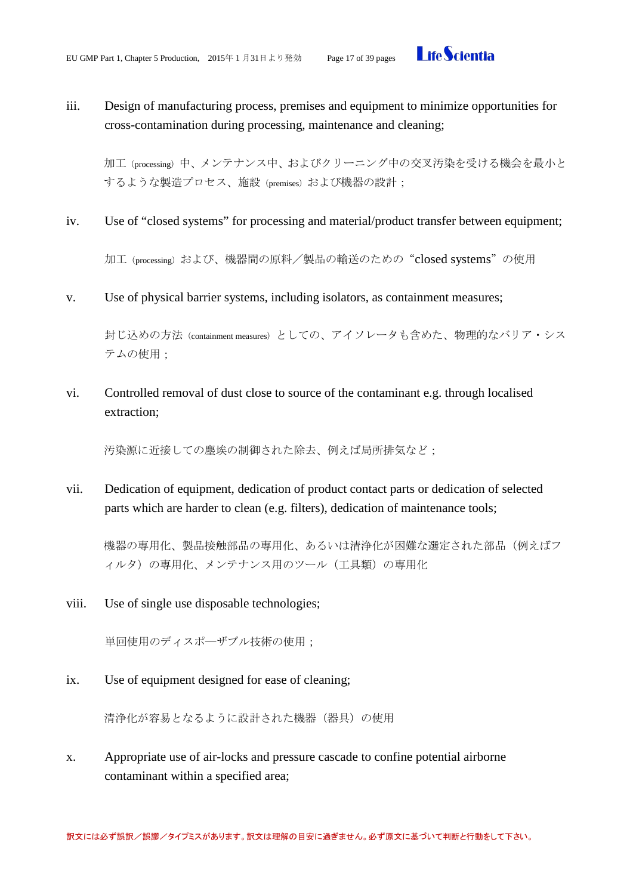

# iii. Design of manufacturing process, premises and equipment to minimize opportunities for cross-contamination during processing, maintenance and cleaning;

加工(processing)中、メンテナンス中、およびクリーニング中の交叉汚染を受ける機会を最小と するような製造プロセス、施設 (premises) および機器の設計;

iv. Use of "closed systems" for processing and material/product transfer between equipment;

加工(processing)および、機器間の原料/製品の輸送のための"closed systems"の使用

v. Use of physical barrier systems, including isolators, as containment measures;

封じ込めの方法 (containment measures) としての、アイソレータも含めた、物理的なバリア・シス テムの使用;

vi. Controlled removal of dust close to source of the contaminant e.g. through localised extraction;

汚染源に近接しての塵埃の制御された除去、例えば局所排気など;

vii. Dedication of equipment, dedication of product contact parts or dedication of selected parts which are harder to clean (e.g. filters), dedication of maintenance tools;

機器の専用化、製品接触部品の専用化、あるいは清浄化が困難な選定された部品(例えばフ ィルタ)の専用化、メンテナンス用のツール(工具類)の専用化

viii. Use of single use disposable technologies;

単回使用のディスポ―ザブル技術の使用;

ix. Use of equipment designed for ease of cleaning;

清浄化が容易となるように設計された機器(器具)の使用

x. Appropriate use of air-locks and pressure cascade to confine potential airborne contaminant within a specified area;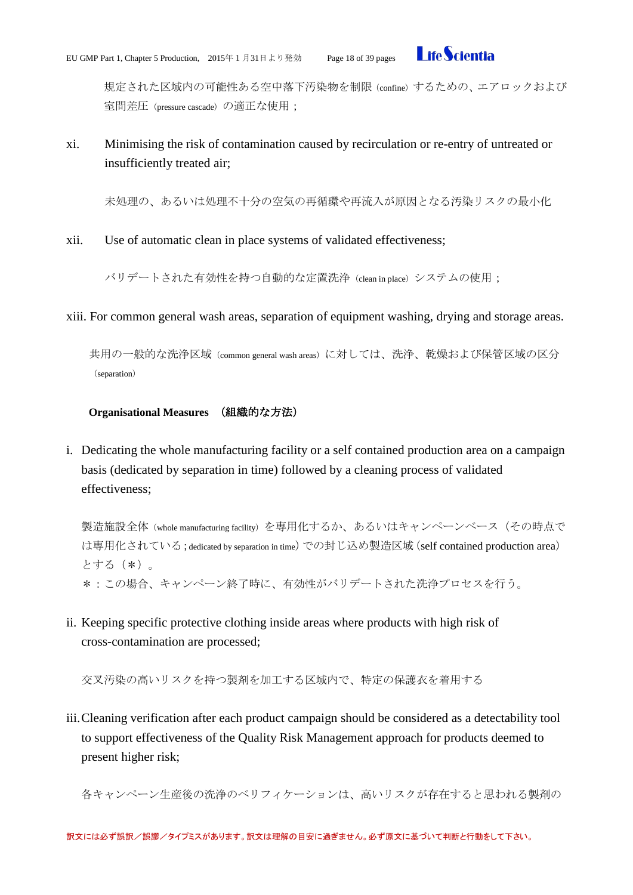

規定された区域内の可能性ある空中落下汚染物を制限 (confine) するための、エアロックおよび 室間差圧 (pressure cascade) の適正な使用;

xi. Minimising the risk of contamination caused by recirculation or re-entry of untreated or insufficiently treated air;

未処理の、あるいは処理不十分の空気の再循環や再流入が原因となる汚染リスクの最小化

xii. Use of automatic clean in place systems of validated effectiveness;

バリデートされた有効性を持つ自動的な定置洗浄(clean in place)システムの使用;

xiii. For common general wash areas, separation of equipment washing, drying and storage areas.

共用の一般的な洗浄区域 (common general wash areas) に対しては、洗浄、乾燥および保管区域の区分 (separation)

### <span id="page-17-0"></span>**Organisational Measures** (組織的な方法)

i. Dedicating the whole manufacturing facility or a self contained production area on a campaign basis (dedicated by separation in time) followed by a cleaning process of validated effectiveness;

製造施設全体 (whole manufacturing facility) を専用化するか、あるいはキャンペーンベース (その時点で は専用化されている;dedicated by separation in time)での封じ込め製造区域(self contained production area) とする(\*)。 \*:この場合、キャンペーン終了時に、有効性がバリデートされた洗浄プロセスを行う。

ii. Keeping specific protective clothing inside areas where products with high risk of cross-contamination are processed;

交叉汚染の高いリスクを持つ製剤を加工する区域内で、特定の保護衣を着用する

iii.Cleaning verification after each product campaign should be considered as a detectability tool to support effectiveness of the Quality Risk Management approach for products deemed to present higher risk;

各キャンペーン生産後の洗浄のベリフィケーションは、高いリスクが存在すると思われる製剤の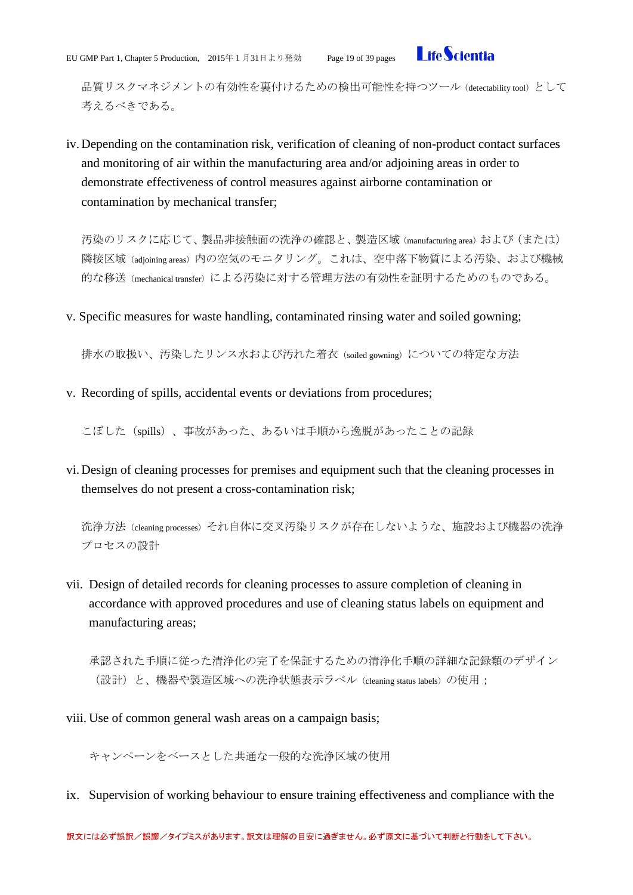

品質リスクマネジメントの有効性を裏付けるための検出可能性を持つツール (detectability tool) として 考えるべきである。

iv. Depending on the contamination risk, verification of cleaning of non-product contact surfaces and monitoring of air within the manufacturing area and/or adjoining areas in order to demonstrate effectiveness of control measures against airborne contamination or contamination by mechanical transfer;

汚染のリスクに応じて、製品非接触面の洗浄の確認と、製造区域 (manufacturing area) および (または) 隣接区域(adjoining areas)内の空気のモニタリング。これは、空中落下物質による汚染、および機械 的な移送(mechanical transfer)による汚染に対する管理方法の有効性を証明するためのものである。

v. Specific measures for waste handling, contaminated rinsing water and soiled gowning;

排水の取扱い、汚染したリンス水および汚れた着衣 (soiled gowning) についての特定な方法

v. Recording of spills, accidental events or deviations from procedures;

こぼした(spills)、事故があった、あるいは手順から逸脱があったことの記録

vi. Design of cleaning processes for premises and equipment such that the cleaning processes in themselves do not present a cross-contamination risk;

洗浄方法(cleaning processes)それ自体に交叉汚染リスクが存在しないような、施設および機器の洗浄 プロセスの設計

vii. Design of detailed records for cleaning processes to assure completion of cleaning in accordance with approved procedures and use of cleaning status labels on equipment and manufacturing areas;

承認された手順に従った清浄化の完了を保証するための清浄化手順の詳細な記録類のデザイン (設計)と、機器や製造区域への洗浄状態表示ラベル (cleaning status labels) の使用;

viii. Use of common general wash areas on a campaign basis;

キャンペーンをベースとした共通な一般的な洗浄区域の使用

ix. Supervision of working behaviour to ensure training effectiveness and compliance with the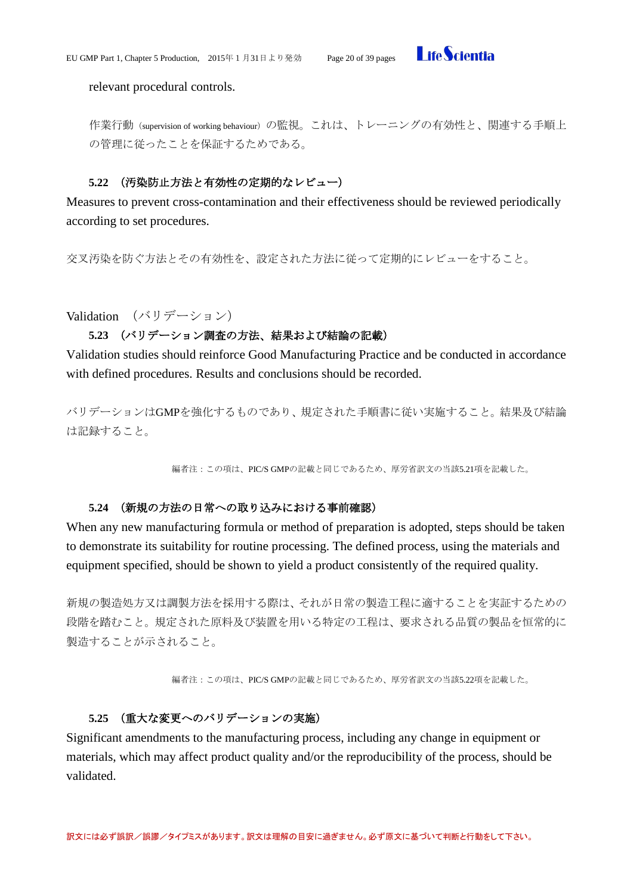

relevant procedural controls.

作業行動 (supervision of working behaviour) の監視。これは、トレーニングの有効性と、関連する手順上 の管理に従ったことを保証するためである。

# **5.22** (汚染防止方法と有効性の定期的なレビュー)

<span id="page-19-0"></span>Measures to prevent cross-contamination and their effectiveness should be reviewed periodically according to set procedures.

交叉汚染を防ぐ方法とその有効性を、設定された方法に従って定期的にレビューをすること。

<span id="page-19-2"></span><span id="page-19-1"></span>Validation (バリデーション)

# **5.23** (バリデーション調査の方法、結果および結論の記載)

Validation studies should reinforce Good Manufacturing Practice and be conducted in accordance with defined procedures. Results and conclusions should be recorded.

バリデーションはGMPを強化するものであり、規定された手順書に従い実施すること。結果及び結論 は記録すること。

編者注:この項は、PIC/S GMPの記載と同じであるため、厚労省訳文の当該5.21項を記載した。

# **5.24** (新規の方法の日常への取り込みにおける事前確認)

<span id="page-19-3"></span>When any new manufacturing formula or method of preparation is adopted, steps should be taken to demonstrate its suitability for routine processing. The defined process, using the materials and equipment specified, should be shown to yield a product consistently of the required quality.

新規の製造処方又は調製方法を採用する際は、それが日常の製造工程に適することを実証するための 段階を踏むこと。規定された原料及び装置を用いる特定の工程は、要求される品質の製品を恒常的に 製造することが示されること。

編者注:この項は、PIC/S GMPの記載と同じであるため、厚労省訳文の当該5.22項を記載した。

# <span id="page-19-4"></span>**5.25** (重大な変更へのバリデーションの実施)

Significant amendments to the manufacturing process, including any change in equipment or materials, which may affect product quality and/or the reproducibility of the process, should be validated.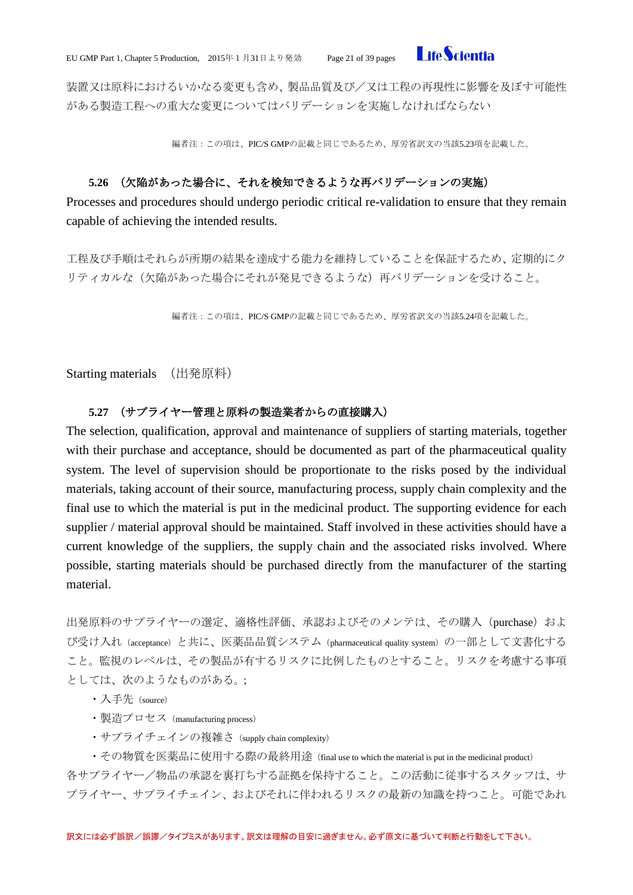

装置又は原料におけるいかなる変更も含め、製品品質及び/又は工程の再現性に影響を及ぼす可能性 がある製造工程への重大な変更についてはバリデーションを実施しなければならない

編者注:この項は、PIC/S GMPの記載と同じであるため、厚労省訳文の当該5.23項を記載した。

# **5.26** (欠陥があった場合に、それを検知できるような再バリデーションの実施)

<span id="page-20-0"></span>Processes and procedures should undergo periodic critical re-validation to ensure that they remain capable of achieving the intended results.

工程及び手順はそれらが所期の結果を達成する能力を維持していることを保証するため、定期的にク リティカルな(欠陥があった場合にそれが発見できるような)再バリデーションを受けること。

編者注:この項は、PIC/S GMPの記載と同じであるため、厚労省訳文の当該5.24項を記載した。

<span id="page-20-1"></span>Starting materials (出発原料)

#### **5.27** (サプライヤー管理と原料の製造業者からの直接購入)

<span id="page-20-2"></span>The selection, qualification, approval and maintenance of suppliers of starting materials, together with their purchase and acceptance, should be documented as part of the pharmaceutical quality system. The level of supervision should be proportionate to the risks posed by the individual materials, taking account of their source, manufacturing process, supply chain complexity and the final use to which the material is put in the medicinal product. The supporting evidence for each supplier / material approval should be maintained. Staff involved in these activities should have a current knowledge of the suppliers, the supply chain and the associated risks involved. Where possible, starting materials should be purchased directly from the manufacturer of the starting material.

出発原料のサプライヤーの選定、適格性評価、承認およびそのメンテは、その購入 (purchase) およ び受け入れ(acceptance)と共に、医薬品品質システム(pharmaceutical quality system)の一部として文書化する こと。監視のレベルは、その製品が有するリスクに比例したものとすること。リスクを考慮する事項 としては、次のようなものがある。;

- ・入手先(source)
- ・製造プロセス(manufacturing process)
- · サプライチェインの複雑さ (supply chain complexity)

・その物質を医薬品に使用する際の最終用途(final use to which the material is put in the medicinal product) 各サプライヤー/物品の承認を裏打ちする証拠を保持すること。この活動に従事するスタッフは、サ プライヤー、サプライチェイン、およびそれに伴われるリスクの最新の知識を持つこと。可能であれ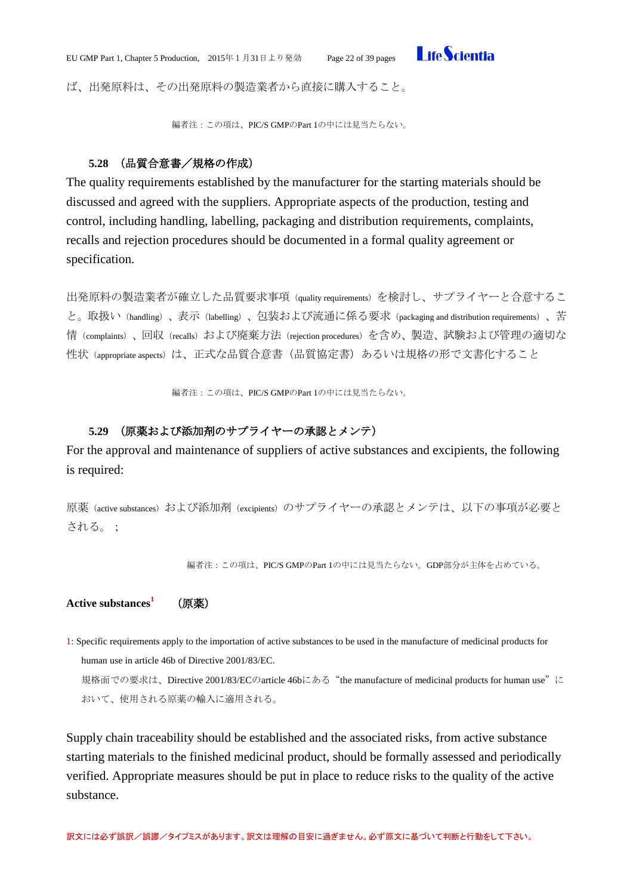

ば、出発原料は、その出発原料の製造業者から直接に購入すること。

編者注:この項は、PIC/S GMPのPart 1の中には見当たらない。

# **5.28** (品質合意書/規格の作成)

<span id="page-21-0"></span>The quality requirements established by the manufacturer for the starting materials should be discussed and agreed with the suppliers. Appropriate aspects of the production, testing and control, including handling, labelling, packaging and distribution requirements, complaints, recalls and rejection procedures should be documented in a formal quality agreement or specification.

出発原料の製造業者が確立した品質要求事項(quality requirements)を検討し、サプライヤーと合意するこ と。取扱い(handling)、表示(labelling)、包装および流通に係る要求(packaging and distribution requirements)、苦 情(complaints)、回収(recalls)および廃棄方法(rejection procedures)を含め、製造、試験および管理の適切な 性状 (appropriate aspects) は、正式な品質合意書(品質協定書)あるいは規格の形で文書化すること

編者注:この項は、PIC/S GMPのPart 1の中には見当たらない。

# **5.29** (原薬および添加剤のサプライヤーの承認とメンテ)

<span id="page-21-1"></span>For the approval and maintenance of suppliers of active substances and excipients, the following is required:

原薬(active substances)および添加剤(excipients)のサプライヤーの承認とメンテは、以下の事項が必要と される。;

編者注:この項は、PIC/S GMPのPart 1の中には見当たらない。GDP部分が主体を占めている。

<span id="page-21-2"></span>Active substances<sup>1</sup> (原薬)

1: Specific requirements apply to the importation of active substances to be used in the manufacture of medicinal products for human use in article 46b of Directive 2001/83/EC.

規格面での要求は、Directive 2001/83/ECのarticle 46bにある "the manufacture of medicinal products for human use"に おいて、使用される原薬の輸入に適用される。

Supply chain traceability should be established and the associated risks, from active substance starting materials to the finished medicinal product, should be formally assessed and periodically verified. Appropriate measures should be put in place to reduce risks to the quality of the active substance.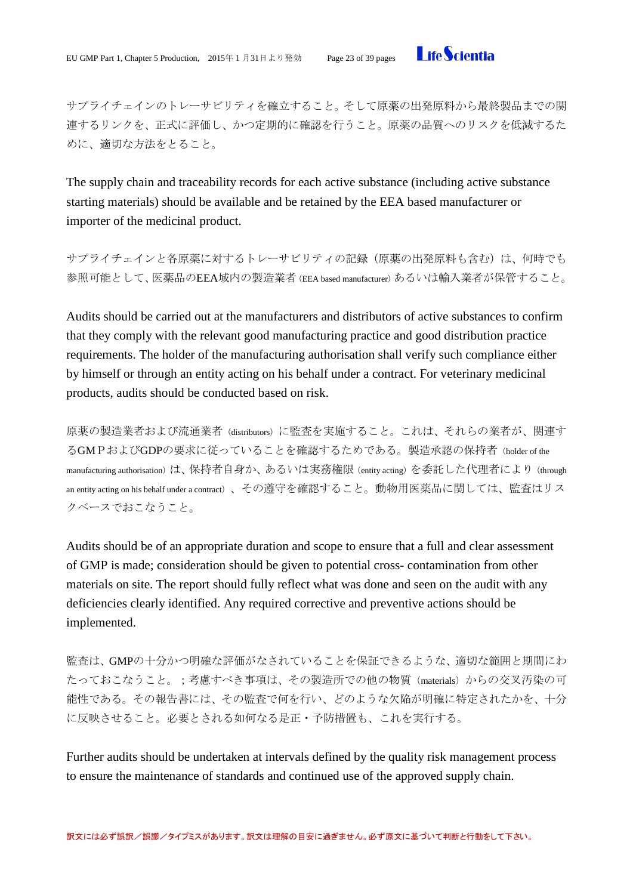

サプライチェインのトレーサビリティを確立すること。そして原薬の出発原料から最終製品までの関 連するリンクを、正式に評価し、かつ定期的に確認を行うこと。原薬の品質へのリスクを低減するた めに、適切な方法をとること。

The supply chain and traceability records for each active substance (including active substance starting materials) should be available and be retained by the EEA based manufacturer or importer of the medicinal product.

サプライチェインと各原薬に対するトレーサビリティの記録(原薬の出発原料も含む)は、何時でも 参照可能として、医薬品のEEA域内の製造業者 (EEA based manufacturer) あるいは輸入業者が保管すること。

Audits should be carried out at the manufacturers and distributors of active substances to confirm that they comply with the relevant good manufacturing practice and good distribution practice requirements. The holder of the manufacturing authorisation shall verify such compliance either by himself or through an entity acting on his behalf under a contract. For veterinary medicinal products, audits should be conducted based on risk.

原薬の製造業者および流通業者(distributors)に監査を実施すること。これは、それらの業者が、関連す るGMPおよびGDPの要求に従っていることを確認するためである。製造承認の保持者(holder of the manufacturing authorisation)は、保持者自身か、あるいは実務権限 (entity acting)を委託した代理者により (through an entity acting on his behalf under a contract)、その遵守を確認すること。動物用医薬品に関しては、監査はリス クベースでおこなうこと。

Audits should be of an appropriate duration and scope to ensure that a full and clear assessment of GMP is made; consideration should be given to potential cross- contamination from other materials on site. The report should fully reflect what was done and seen on the audit with any deficiencies clearly identified. Any required corrective and preventive actions should be implemented.

監査は、GMPの十分かつ明確な評価がなされていることを保証できるような、適切な範囲と期間にわ たっておこなうこと。;考慮すべき事項は、その製造所での他の物質(materials)からの交叉汚染の可 能性である。その報告書には、その監査で何を行い、どのような欠陥が明確に特定されたかを、十分 に反映させること。必要とされる如何なる是正・予防措置も、これを実行する。

Further audits should be undertaken at intervals defined by the quality risk management process to ensure the maintenance of standards and continued use of the approved supply chain.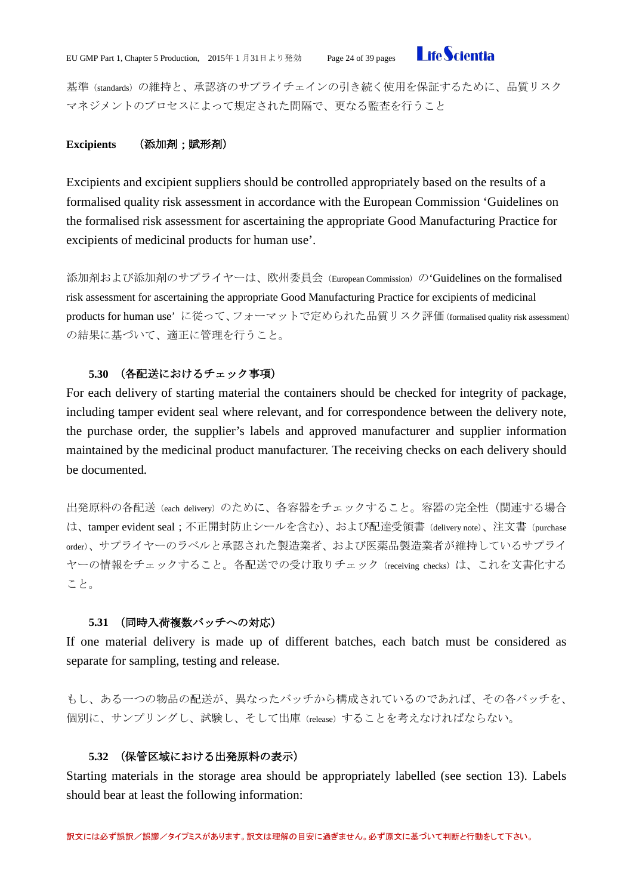

基準(standards)の維持と、承認済のサプライチェインの引き続く使用を保証するために、品質リスク マネジメントのプロセスによって規定された間隔で、更なる監査を行うこと

# <span id="page-23-0"></span>**Excipients** (添加剤;賦形剤)

Excipients and excipient suppliers should be controlled appropriately based on the results of a formalised quality risk assessment in accordance with the European Commission 'Guidelines on the formalised risk assessment for ascertaining the appropriate Good Manufacturing Practice for excipients of medicinal products for human use'.

添加剤および添加剤のサプライヤーは、欧州委員会(European Commission)の'Guidelines on the formalised risk assessment for ascertaining the appropriate Good Manufacturing Practice for excipients of medicinal products for human use' に従って、フォーマットで定められた品質リスク評価(formalised quality risk assessment) の結果に基づいて、適正に管理を行うこと。

# **5.30** (各配送におけるチェック事項)

<span id="page-23-1"></span>For each delivery of starting material the containers should be checked for integrity of package, including tamper evident seal where relevant, and for correspondence between the delivery note, the purchase order, the supplier's labels and approved manufacturer and supplier information maintained by the medicinal product manufacturer. The receiving checks on each delivery should be documented.

出発原料の各配送 (each delivery) のために、各容器をチェックすること。容器の完全性(関連する場合 は、tamper evident seal;不正開封防止シールを含む)、および配達受領書(delivery note)、注文書(purchase order)、サプライヤーのラベルと承認された製造業者、および医薬品製造業者が維持しているサプライ ヤーの情報をチェックすること。各配送での受け取りチェック (receiving checks) は、これを文書化する こと。

# **5.31** (同時入荷複数バッチへの対応)

<span id="page-23-2"></span>If one material delivery is made up of different batches, each batch must be considered as separate for sampling, testing and release.

もし、ある一つの物品の配送が、異なったバッチから構成されているのであれば、その各バッチを、 個別に、サンプリングし、試験し、そして出庫(release)することを考えなければならない。

# **5.32** (保管区域における出発原料の表示)

<span id="page-23-3"></span>Starting materials in the storage area should be appropriately labelled (see section 13). Labels should bear at least the following information: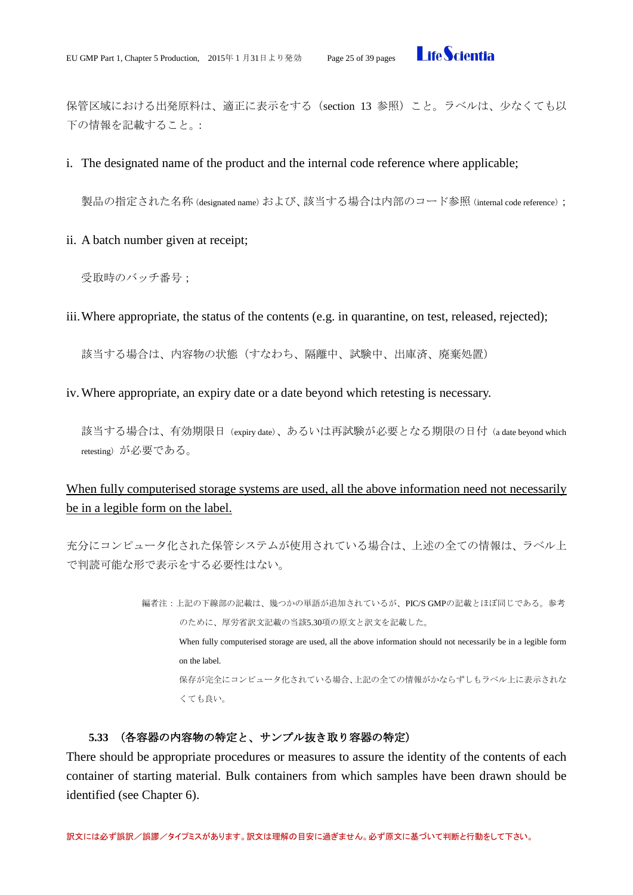

保管区域における出発原料は、適正に表示をする(section 13 参照)こと。ラベルは、少なくても以 下の情報を記載すること。:

i. The designated name of the product and the internal code reference where applicable;

製品の指定された名称(designated name)および、該当する場合は内部のコード参照(internal code reference);

ii. A batch number given at receipt;

受取時のバッチ番号;

iii.Where appropriate, the status of the contents (e.g. in quarantine, on test, released, rejected);

該当する場合は、内容物の状態(すなわち、隔離中、試験中、出庫済、廃棄処置)

iv.Where appropriate, an expiry date or a date beyond which retesting is necessary.

該当する場合は、有効期限日 (expiry date)、あるいは再試験が必要となる期限の日付 (a date beyond which retesting)が必要である。

# When fully computerised storage systems are used, all the above information need not necessarily be in a legible form on the label.

充分にコンピュータ化された保管システムが使用されている場合は、上述の全ての情報は、ラベル上 で判読可能な形で表示をする必要性はない。

> 編者注:上記の下線部の記載は、幾つかの単語が追加されているが、PIC/S GMPの記載とほぼ同じである。参考 のために、厚労省訳文記載の当該5.30項の原文と訳文を記載した。 When fully computerised storage are used, all the above information should not necessarily be in a legible form on the label. 保存が完全にコンピュータ化されている場合、上記の全ての情報がかならずしもラベル上に表示されな くても良い。

# <span id="page-24-0"></span>**5.33** (各容器の内容物の特定と、サンプル抜き取り容器の特定)

There should be appropriate procedures or measures to assure the identity of the contents of each container of starting material. Bulk containers from which samples have been drawn should be identified (see Chapter 6).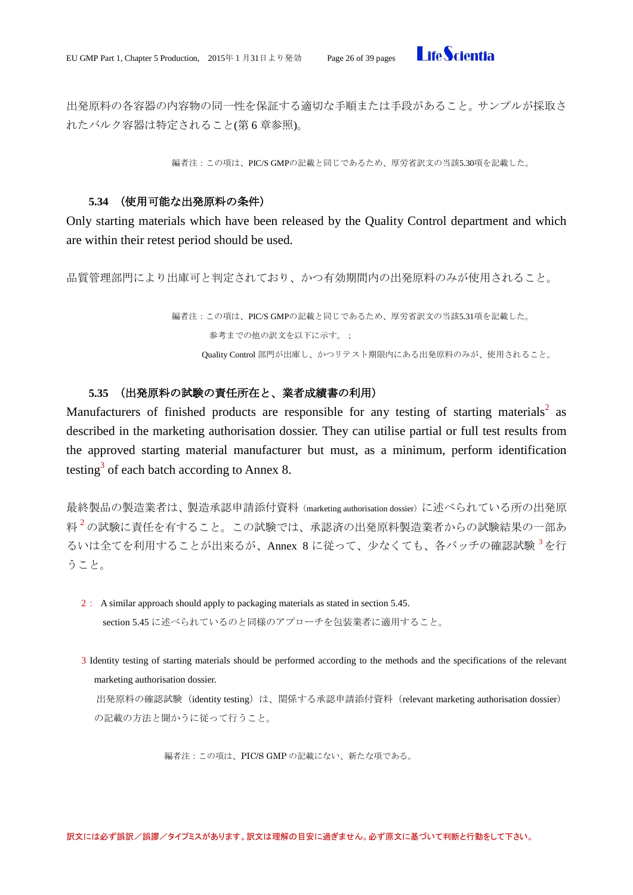

出発原料の各容器の内容物の同一性を保証する適切な手順または手段があること。サンプルが採取さ れたバルク容器は特定されること(第6章参照)。

編者注:この項は、PIC/S GMPの記載と同じであるため、厚労省訳文の当該5.30項を記載した。

#### **5.34** (使用可能な出発原料の条件)

<span id="page-25-0"></span>Only starting materials which have been released by the Quality Control department and which are within their retest period should be used.

品質管理部門により出庫可と判定されており、かつ有効期間内の出発原料のみが使用されること。

編者注:この項は、PIC/S GMPの記載と同じであるため、厚労省訳文の当該5.31項を記載した。 参考までの他の訳文を以下に示す。; Quality Control 部門が出庫し、かつリテスト期限内にある出発原料のみが、使用されること。

# **5.35** (出発原料の試験の責任所在と、業者成績書の利用)

<span id="page-25-1"></span>Manufacturers of finished products are responsible for any testing of starting materials<sup>2</sup> as described in the marketing authorisation dossier. They can utilise partial or full test results from the approved starting material manufacturer but must, as a minimum, perform identification testing<sup>3</sup> of each batch according to Annex 8.

最終製品の製造業者は、製造承認申請添付資料(marketing authorisation dossier)に述べられている所の出発原 料 $^2$ の試験に責任を有すること。この試験では、承認済の出発原料製造業者からの試験結果の一部あ るいは全てを利用することが出来るが、Annex 8 に従って、少なくても、各バッチの確認試験<sup>3</sup>を行 うこと。

- 2: A similar approach should apply to packaging materials as stated in section 5.45. section 5.45 に述べられているのと同様のアプローチを包装業者に適用すること。
- 3 Identity testing of starting materials should be performed according to the methods and the specifications of the relevant marketing authorisation dossier.

出発原料の確認試験 (identity testing) は、関係する承認申請添付資料 (relevant marketing authorisation dossier) の記載の方法と聞かうに従って行うこと。

編者注:この項は、PIC/S GMP の記載にない、新たな項である。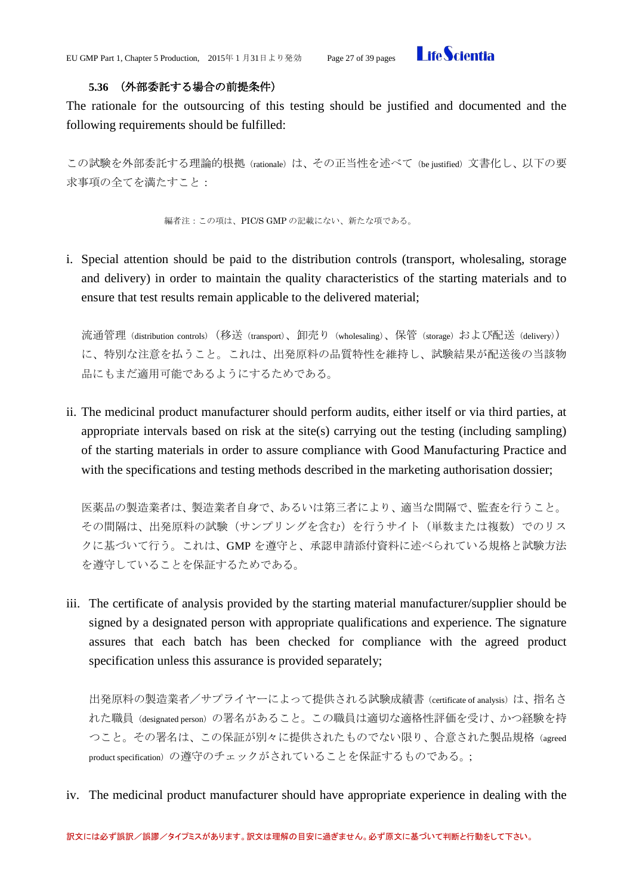

# **5.36** (外部委託する場合の前提条件)

<span id="page-26-0"></span>The rationale for the outsourcing of this testing should be justified and documented and the following requirements should be fulfilled:

この試験を外部委託する理論的根拠 (rationale) は、その正当性を述べて (be justified) 文書化し、以下の要 求事項の全てを満たすこと:

編者注:この項は、PIC/S GMP の記載にない、新たな項である。

i. Special attention should be paid to the distribution controls (transport, wholesaling, storage and delivery) in order to maintain the quality characteristics of the starting materials and to ensure that test results remain applicable to the delivered material;

流通管理 (distribution controls) (移送 (transport)、卸売り (wholesaling)、保管 (storage) および配送 (delivery)) に、特別な注意を払うこと。これは、出発原料の品質特性を維持し、試験結果が配送後の当該物 品にもまだ適用可能であるようにするためである。

ii. The medicinal product manufacturer should perform audits, either itself or via third parties, at appropriate intervals based on risk at the site(s) carrying out the testing (including sampling) of the starting materials in order to assure compliance with Good Manufacturing Practice and with the specifications and testing methods described in the marketing authorisation dossier;

医薬品の製造業者は、製造業者自身で、あるいは第三者により、適当な間隔で、監査を行うこと。 その間隔は、出発原料の試験(サンプリングを含む)を行うサイト(単数または複数)でのリス クに基づいて行う。これは、GMP を遵守と、承認申請添付資料に述べられている規格と試験方法 を遵守していることを保証するためである。

iii. The certificate of analysis provided by the starting material manufacturer/supplier should be signed by a designated person with appropriate qualifications and experience. The signature assures that each batch has been checked for compliance with the agreed product specification unless this assurance is provided separately;

出発原料の製造業者/サプライヤーによって提供される試験成績書 (certificate of analysis) は、指名さ れた職員(designated person)の署名があること。この職員は適切な適格性評価を受け、かつ経験を持 つこと。その署名は、この保証が別々に提供されたものでない限り、合意された製品規格(agreed product specification)の遵守のチェックがされていることを保証するものである。;

iv. The medicinal product manufacturer should have appropriate experience in dealing with the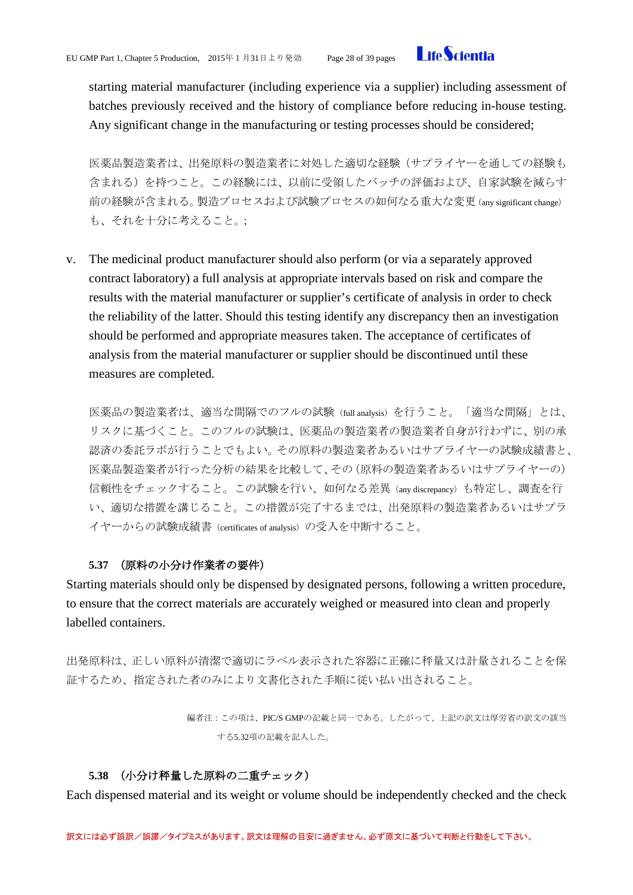

starting material manufacturer (including experience via a supplier) including assessment of batches previously received and the history of compliance before reducing in-house testing. Any significant change in the manufacturing or testing processes should be considered;

医薬品製造業者は、出発原料の製造業者に対処した適切な経験(サプライヤーを通しての経験も 含まれる)を持つこと。この経験には、以前に受領したバッチの評価および、自家試験を減らす 前の経験が含まれる。製造プロセスおよび試験プロセスの如何なる重大な変更(any significant change) も、それを十分に考えること。;

v. The medicinal product manufacturer should also perform (or via a separately approved contract laboratory) a full analysis at appropriate intervals based on risk and compare the results with the material manufacturer or supplier's certificate of analysis in order to check the reliability of the latter. Should this testing identify any discrepancy then an investigation should be performed and appropriate measures taken. The acceptance of certificates of analysis from the material manufacturer or supplier should be discontinued until these measures are completed.

医薬品の製造業者は、適当な間隔でのフルの試験(full analysis)を行うこと。「適当な間隔」とは、 リスクに基づくこと。このフルの試験は、医薬品の製造業者の製造業者自身が行わずに、別の承 認済の委託ラボが行うことでもよい。その原料の製造業者あるいはサプライヤーの試験成績書と、 医薬品製造業者が行った分析の結果を比較して、その(原料の製造業者あるいはサプライヤーの) 信頼性をチェックすること。この試験を行い、如何なる差異(any discrepancy)も特定し、調査を行 い、適切な措置を講じること。この措置が完了するまでは、出発原料の製造業者あるいはサプラ イヤーからの試験成績書(certificates of analysis)の受入を中断すること。

# **5.37** (原料の小分け作業者の要件)

<span id="page-27-0"></span>Starting materials should only be dispensed by designated persons, following a written procedure, to ensure that the correct materials are accurately weighed or measured into clean and properly labelled containers.

出発原料は、正しい原料が清潔で適切にラベル表示された容器に正確に秤量又は計量されることを保 証するため、指定された者のみにより文書化された手順に従い払い出されること。

> 編者注:この項は、PIC/S GMPの記載と同一である。したがって、上記の訳文は厚労省の訳文の該当 する5.32項の記載を記入した。

### **5.38** (小分け秤量した原料の二重チェック)

<span id="page-27-1"></span>Each dispensed material and its weight or volume should be independently checked and the check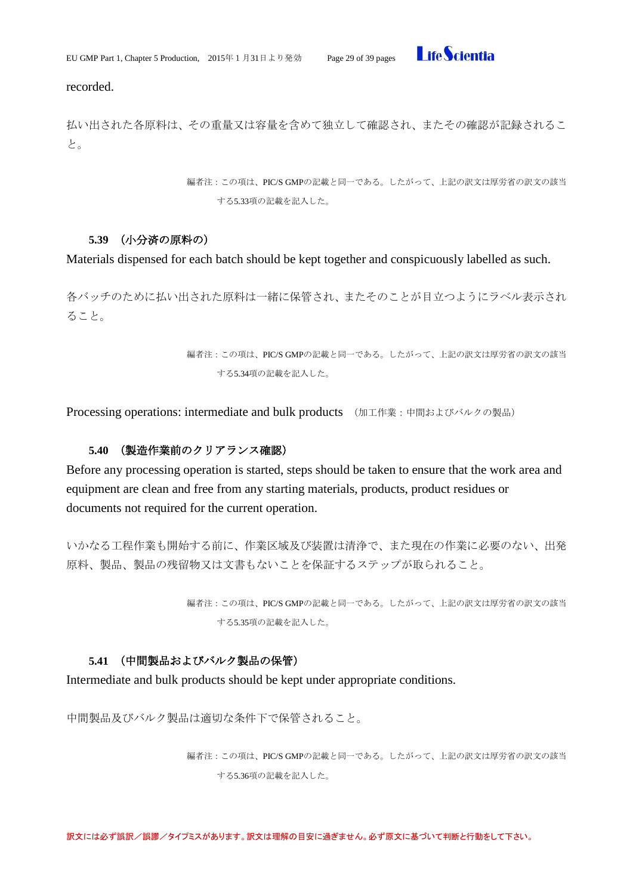

recorded.

払い出された各原料は、その重量又は容量を含めて独立して確認され、またその確認が記録されるこ と。

> 編者注:この項は、PIC/S GMPの記載と同一である。したがって、上記の訳文は厚労省の訳文の該当 する5.33項の記載を記入した。

# **5.39** (小分済の原料の)

<span id="page-28-0"></span>Materials dispensed for each batch should be kept together and conspicuously labelled as such.

各バッチのために払い出された原料は一緒に保管され、またそのことが目立つようにラベル表示され ること。

> 編者注:この項は、PIC/S GMPの記載と同一である。したがって、上記の訳文は厚労省の訳文の該当 する5.34項の記載を記入した。

<span id="page-28-1"></span>Processing operations: intermediate and bulk products (加工作業:中間およびバルクの製品)

# **5.40** (製造作業前のクリアランス確認)

<span id="page-28-2"></span>Before any processing operation is started, steps should be taken to ensure that the work area and equipment are clean and free from any starting materials, products, product residues or documents not required for the current operation.

いかなる工程作業も開始する前に、作業区域及び装置は清浄で、また現在の作業に必要のない、出発 原料、製品、製品の残留物又は文書もないことを保証するステップが取られること。

> 編者注:この項は、PIC/S GMPの記載と同一である。したがって、上記の訳文は厚労省の訳文の該当 する5.35項の記載を記入した。

# **5.41** (中間製品およびバルク製品の保管)

<span id="page-28-3"></span>Intermediate and bulk products should be kept under appropriate conditions.

中間製品及びバルク製品は適切な条件下で保管されること。

編者注:この項は、PIC/S GMPの記載と同一である。したがって、上記の訳文は厚労省の訳文の該当 する5.36項の記載を記入した。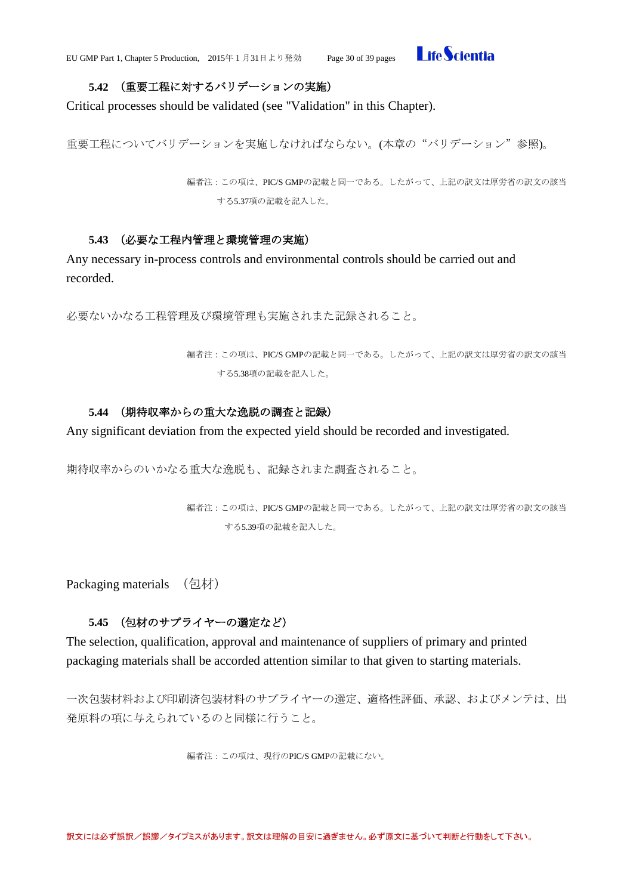

# **5.42** (重要工程に対するバリデーションの実施)

<span id="page-29-0"></span>Critical processes should be validated (see "Validation" in this Chapter).

重要工程についてバリデーションを実施しなければならない。(本章の"バリデーション"参照)。

編者注:この項は、PIC/S GMPの記載と同一である。したがって、上記の訳文は厚労省の訳文の該当 する5.37項の記載を記入した。

### **5.43** (必要な工程内管理と環境管理の実施)

<span id="page-29-1"></span>Any necessary in-process controls and environmental controls should be carried out and recorded.

必要ないかなる工程管理及び環境管理も実施されまた記録されること。

編者注:この項は、PIC/S GMPの記載と同一である。したがって、上記の訳文は厚労省の訳文の該当 する5.38項の記載を記入した。

### **5.44** (期待収率からの重大な逸脱の調査と記録)

<span id="page-29-2"></span>Any significant deviation from the expected yield should be recorded and investigated.

期待収率からのいかなる重大な逸脱も、記録されまた調査されること。

編者注:この項は、PIC/S GMPの記載と同一である。したがって、上記の訳文は厚労省の訳文の該当 する5.39項の記載を記入した。

<span id="page-29-3"></span>Packaging materials (包材)

# **5.45** (包材のサプライヤーの選定など)

<span id="page-29-4"></span>The selection, qualification, approval and maintenance of suppliers of primary and printed packaging materials shall be accorded attention similar to that given to starting materials.

一次包装材料および印刷済包装材料のサプライヤーの選定、適格性評価、承認、およびメンテは、出 発原料の項に与えられているのと同様に行うこと。

編者注:この項は、現行のPIC/S GMPの記載にない。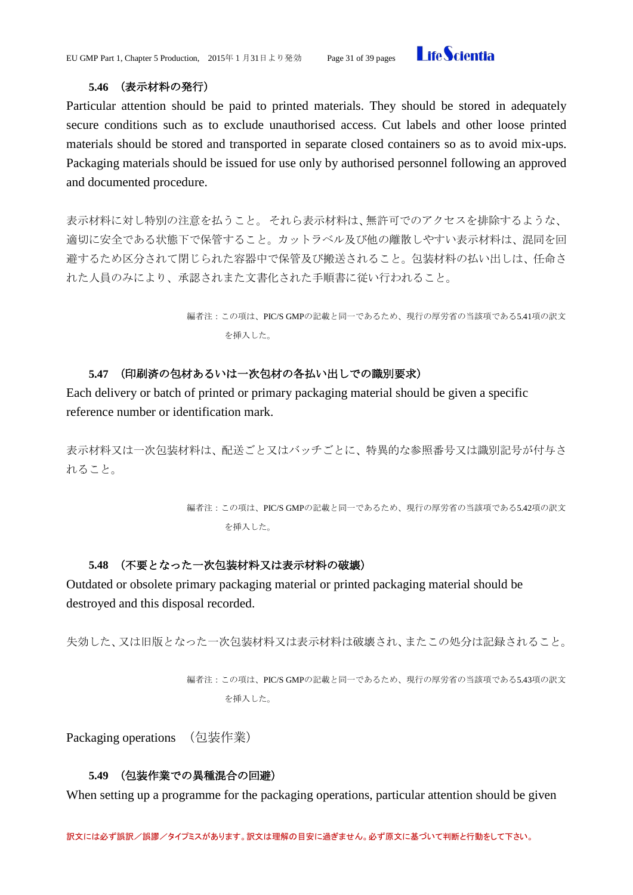

### **5.46** (表示材料の発行)

<span id="page-30-0"></span>Particular attention should be paid to printed materials. They should be stored in adequately secure conditions such as to exclude unauthorised access. Cut labels and other loose printed materials should be stored and transported in separate closed containers so as to avoid mix-ups. Packaging materials should be issued for use only by authorised personnel following an approved and documented procedure.

表示材料に対し特別の注意を払うこと。それら表示材料は、無許可でのアクセスを排除するような、 適切に安全である状態下で保管すること。カットラベル及び他の離散しやすい表示材料は、混同を回 避するため区分されて閉じられた容器中で保管及び搬送されること。包装材料の払い出しは、任命さ れた人員のみにより、承認されまた文書化された手順書に従い行われること。

> 編者注:この項は、PIC/S GMPの記載と同一であるため、現行の厚労省の当該項である5.41項の訳文 を挿入した。

# **5.47** (印刷済の包材あるいは一次包材の各払い出しでの識別要求)

<span id="page-30-1"></span>Each delivery or batch of printed or primary packaging material should be given a specific reference number or identification mark.

表示材料又は一次包装材料は、配送ごと又はバッチごとに、特異的な参照番号又は識別記号が付与さ れること。

> 編者注:この項は、PIC/S GMPの記載と同一であるため、現行の厚労省の当該項である5.42項の訳文 を挿入した。

# <span id="page-30-2"></span>**5.48** (不要となった一次包装材料又は表示材料の破壊)

Outdated or obsolete primary packaging material or printed packaging material should be destroyed and this disposal recorded.

失効した、又は旧版となった一次包装材料又は表示材料は破壊され、またこの処分は記録されること。

編者注:この項は、PIC/S GMPの記載と同一であるため、現行の厚労省の当該項である5.43項の訳文 を挿入した。

<span id="page-30-3"></span>Packaging operations (包装作業)

# **5.49** (包装作業での異種混合の回避)

<span id="page-30-4"></span>When setting up a programme for the packaging operations, particular attention should be given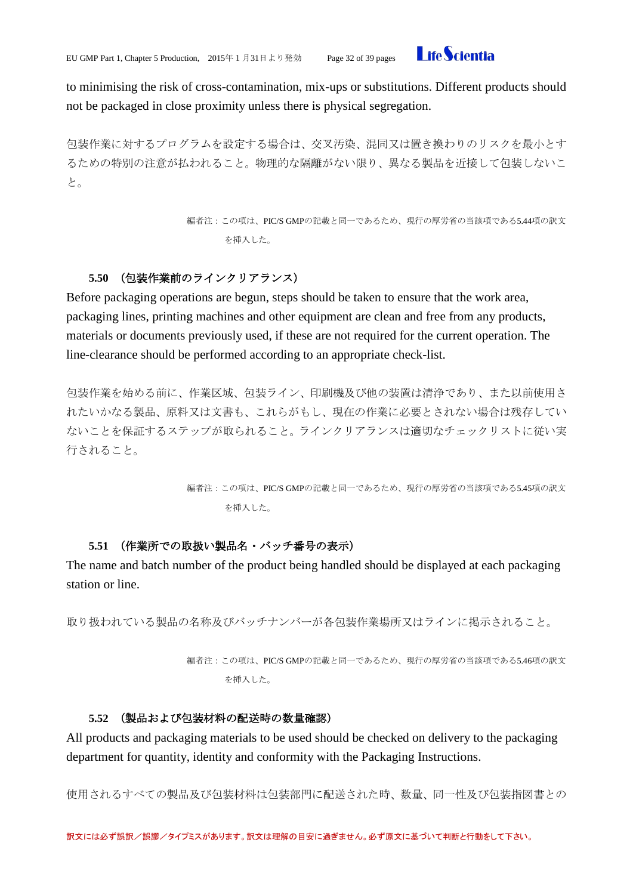

to minimising the risk of cross-contamination, mix-ups or substitutions. Different products should not be packaged in close proximity unless there is physical segregation.

包装作業に対するプログラムを設定する場合は、交叉汚染、混同又は置き換わりのリスクを最小とす るための特別の注意が払われること。物理的な隔離がない限り、異なる製品を近接して包装しないこ と。

> 編者注:この項は、PIC/S GMPの記載と同一であるため、現行の厚労省の当該項である5.44項の訳文 を挿入した。

### **5.50** (包装作業前のラインクリアランス)

<span id="page-31-0"></span>Before packaging operations are begun, steps should be taken to ensure that the work area, packaging lines, printing machines and other equipment are clean and free from any products, materials or documents previously used, if these are not required for the current operation. The line-clearance should be performed according to an appropriate check-list.

包装作業を始める前に、作業区域、包装ライン、印刷機及び他の装置は清浄であり、また以前使用さ れたいかなる製品、原料又は文書も、これらがもし、現在の作業に必要とされない場合は残存してい ないことを保証するステップが取られること。ラインクリアランスは適切なチェックリストに従い実 行されること。

> 編者注:この項は、PIC/S GMPの記載と同一であるため、現行の厚労省の当該項である5.45項の訳文 を挿入した。

#### **5.51** (作業所での取扱い製品名・バッチ番号の表示)

<span id="page-31-1"></span>The name and batch number of the product being handled should be displayed at each packaging station or line.

取り扱われている製品の名称及びバッチナンバーが各包装作業場所又はラインに掲示されること。

編者注:この項は、PIC/S GMPの記載と同一であるため、現行の厚労省の当該項である5.46項の訳文 を挿入した。

### **5.52** (製品および包装材料の配送時の数量確認)

<span id="page-31-2"></span>All products and packaging materials to be used should be checked on delivery to the packaging department for quantity, identity and conformity with the Packaging Instructions.

使用されるすべての製品及び包装材料は包装部門に配送された時、数量、同一性及び包装指図書との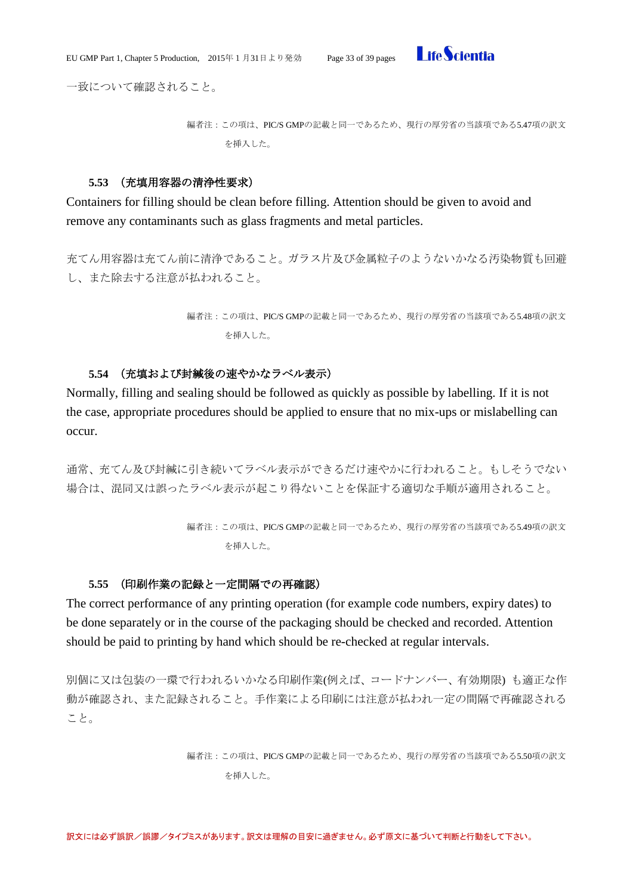

一致について確認されること。

```
編者注:この項は、PIC/S GMPの記載と同一であるため、現行の厚労省の当該項である5.47項の訳文
を挿入した。
```
### **5.53** (充填用容器の清浄性要求)

<span id="page-32-0"></span>Containers for filling should be clean before filling. Attention should be given to avoid and remove any contaminants such as glass fragments and metal particles.

充てん用容器は充てん前に清浄であること。ガラス片及び金属粒子のようないかなる汚染物質も回避 し、また除去する注意が払われること。

> 編者注:この項は、PIC/S GMPの記載と同一であるため、現行の厚労省の当該項である5.48項の訳文 を挿入した。

# **5.54** (充填および封緘後の速やかなラベル表示)

<span id="page-32-1"></span>Normally, filling and sealing should be followed as quickly as possible by labelling. If it is not the case, appropriate procedures should be applied to ensure that no mix-ups or mislabelling can occur.

通常、充てん及び封緘に引き続いてラベル表示ができるだけ速やかに行われること。もしそうでない 場合は、混同又は誤ったラベル表示が起こり得ないことを保証する適切な手順が適用されること。

> 編者注:この項は、PIC/S GMPの記載と同一であるため、現行の厚労省の当該項である5.49項の訳文 を挿入した。

#### **5.55** (印刷作業の記録と一定間隔での再確認)

<span id="page-32-2"></span>The correct performance of any printing operation (for example code numbers, expiry dates) to be done separately or in the course of the packaging should be checked and recorded. Attention should be paid to printing by hand which should be re-checked at regular intervals.

別個に又は包装の一環で行われるいかなる印刷作業(例えば、コードナンバー、有効期限) も適正な作 動が確認され、また記録されること。手作業による印刷には注意が払われ一定の間隔で再確認される こと。

> 編者注:この項は、PIC/S GMPの記載と同一であるため、現行の厚労省の当該項である5.50項の訳文 を挿入した。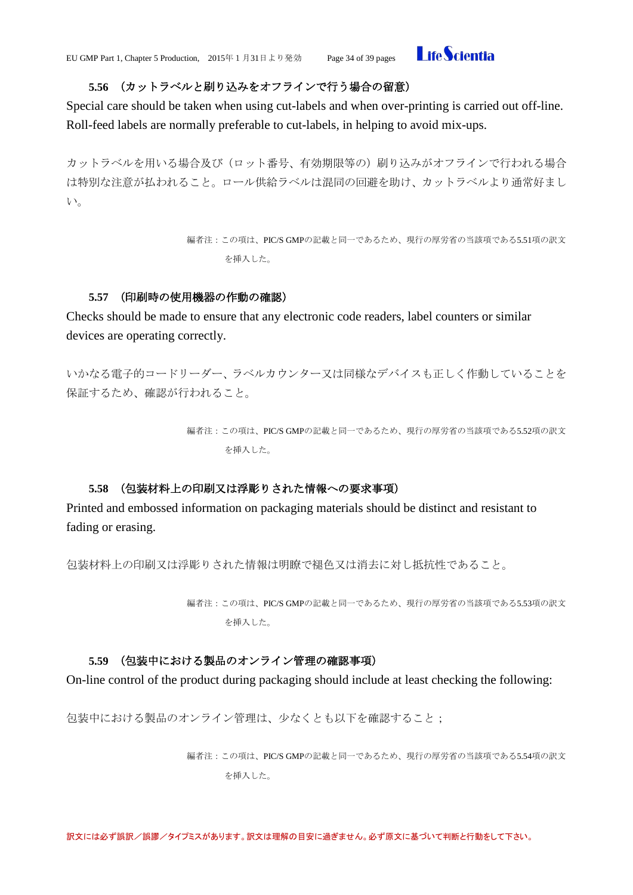

# **5.56** (カットラベルと刷り込みをオフラインで行う場合の留意)

<span id="page-33-0"></span>Special care should be taken when using cut-labels and when over-printing is carried out off-line. Roll-feed labels are normally preferable to cut-labels, in helping to avoid mix-ups.

カットラベルを用いる場合及び(ロット番号、有効期限等の)刷り込みがオフラインで行われる場合 は特別な注意が払われること。ロール供給ラベルは混同の回避を助け、カットラベルより通常好まし い。

> 編者注:この項は、PIC/S GMPの記載と同一であるため、現行の厚労省の当該項である5.51項の訳文 を挿入した。

# **5.57** (印刷時の使用機器の作動の確認)

<span id="page-33-1"></span>Checks should be made to ensure that any electronic code readers, label counters or similar devices are operating correctly.

いかなる電子的コードリーダー、ラベルカウンター又は同様なデバイスも正しく作動していることを 保証するため、確認が行われること。

> 編者注:この項は、PIC/S GMPの記載と同一であるため、現行の厚労省の当該項である5.52項の訳文 を挿入した。

# **5.58** (包装材料上の印刷又は浮彫りされた情報への要求事項)

<span id="page-33-2"></span>Printed and embossed information on packaging materials should be distinct and resistant to fading or erasing.

包装材料上の印刷又は浮彫りされた情報は明瞭で褪色又は消去に対し抵抗性であること。

編者注:この項は、PIC/S GMPの記載と同一であるため、現行の厚労省の当該項である5.53項の訳文 を挿入した。

# <span id="page-33-3"></span>**5.59** (包装中における製品のオンライン管理の確認事項)

On-line control of the product during packaging should include at least checking the following:

包装中における製品のオンライン管理は、少なくとも以下を確認すること;

編者注:この項は、PIC/S GMPの記載と同一であるため、現行の厚労省の当該項である5.54項の訳文 を挿入した。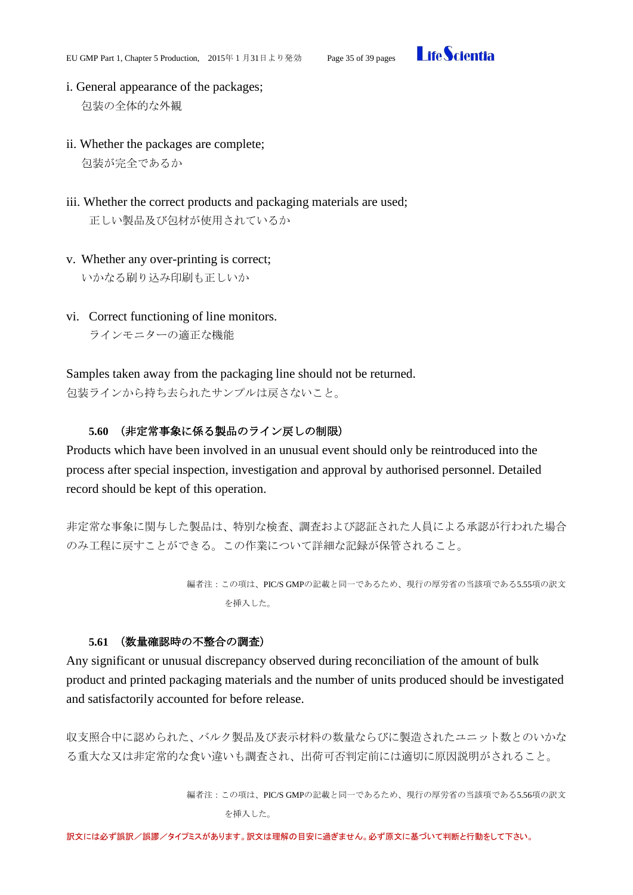

- i. General appearance of the packages; 包装の全体的な外観
- ii. Whether the packages are complete; 包装が完全であるか
- iii. Whether the correct products and packaging materials are used; 正しい製品及び包材が使用されているか
- v. Whether any over-printing is correct; いかなる刷り込み印刷も正しいか
- vi. Correct functioning of line monitors.

ラインモニターの適正な機能

Samples taken away from the packaging line should not be returned. 包装ラインから持ち去られたサンプルは戻さないこと。

# **5.60** (非定常事象に係る製品のライン戻しの制限)

<span id="page-34-0"></span>Products which have been involved in an unusual event should only be reintroduced into the process after special inspection, investigation and approval by authorised personnel. Detailed record should be kept of this operation.

非定常な事象に関与した製品は、特別な検査、調査および認証された人員による承認が行われた場合 のみ工程に戻すことができる。この作業について詳細な記録が保管されること。

> 編者注:この項は、PIC/S GMPの記載と同一であるため、現行の厚労省の当該項である5.55項の訳文 を挿入した。

# **5.61** (数量確認時の不整合の調査)

<span id="page-34-1"></span>Any significant or unusual discrepancy observed during reconciliation of the amount of bulk product and printed packaging materials and the number of units produced should be investigated and satisfactorily accounted for before release.

収支照合中に認められた、バルク製品及び表示材料の数量ならびに製造されたユニット数とのいかな る重大な又は非定常的な食い違いも調査され、出荷可否判定前には適切に原因説明がされること。

> 編者注:この項は、PIC/S GMPの記載と同一であるため、現行の厚労省の当該項である5.56項の訳文 を挿入した。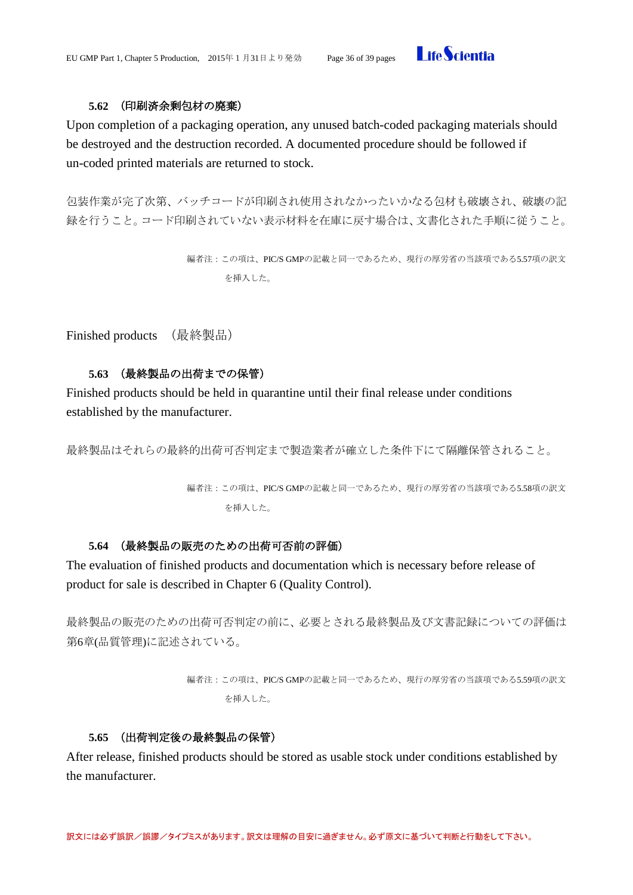

# **5.62** (印刷済余剰包材の廃棄)

<span id="page-35-0"></span>Upon completion of a packaging operation, any unused batch-coded packaging materials should be destroyed and the destruction recorded. A documented procedure should be followed if un-coded printed materials are returned to stock.

包装作業が完了次第、バッチコードが印刷され使用されなかったいかなる包材も破壊され、破壊の記 録を行うこと。コード印刷されていない表示材料を在庫に戻す場合は、文書化された手順に従うこと。

```
編者注:この項は、PIC/S GMPの記載と同一であるため、現行の厚労省の当該項である5.57項の訳文
を挿入した。
```
<span id="page-35-1"></span>Finished products (最終製品)

# **5.63** (最終製品の出荷までの保管)

<span id="page-35-2"></span>Finished products should be held in quarantine until their final release under conditions established by the manufacturer.

```
最終製品はそれらの最終的出荷可否判定まで製造業者が確立した条件下にて隔離保管されること。
```
編者注:この項は、PIC/S GMPの記載と同一であるため、現行の厚労省の当該項である5.58項の訳文 を挿入した。

### **5.64** (最終製品の販売のための出荷可否前の評価)

<span id="page-35-3"></span>The evaluation of finished products and documentation which is necessary before release of product for sale is described in Chapter 6 (Quality Control).

最終製品の販売のための出荷可否判定の前に、必要とされる最終製品及び文書記録についての評価は 第6章(品質管理)に記述されている。

```
編者注:この項は、PIC/S GMPの記載と同一であるため、現行の厚労省の当該項である5.59項の訳文
を挿入した。
```
### **5.65** (出荷判定後の最終製品の保管)

<span id="page-35-4"></span>After release, finished products should be stored as usable stock under conditions established by the manufacturer.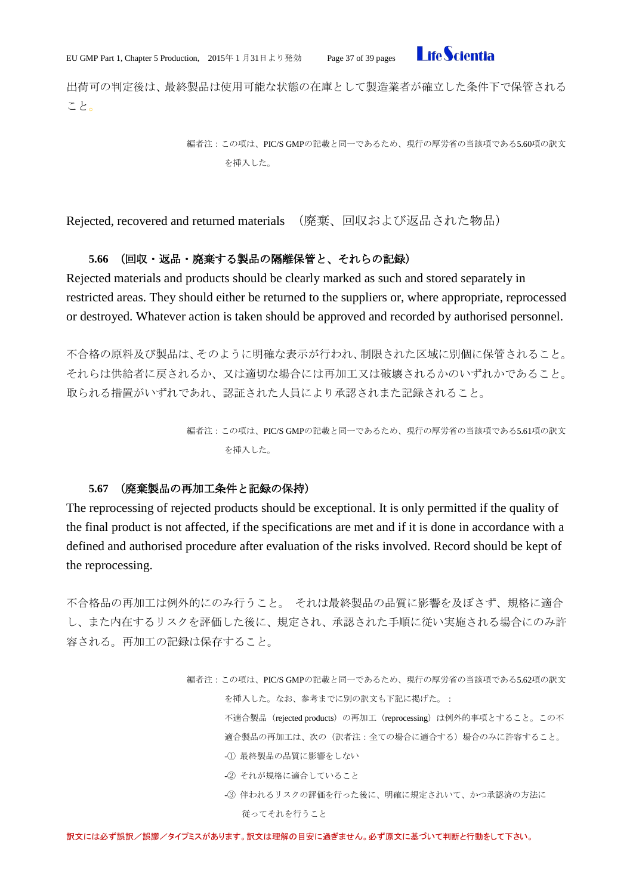**I** ifeScientia

出荷可の判定後は、最終製品は使用可能な状態の在庫として製造業者が確立した条件下で保管される こと。

> 編者注:この項は、PIC/S GMPの記載と同一であるため、現行の厚労省の当該項である5.60項の訳文 を挿入した。

<span id="page-36-0"></span>Rejected, recovered and returned materials (廃棄、回収および返品された物品)

### **5.66** (回収・返品・廃棄する製品の隔離保管と、それらの記録)

<span id="page-36-1"></span>Rejected materials and products should be clearly marked as such and stored separately in restricted areas. They should either be returned to the suppliers or, where appropriate, reprocessed or destroyed. Whatever action is taken should be approved and recorded by authorised personnel.

不合格の原料及び製品は、そのように明確な表示が行われ、制限された区域に別個に保管されること。 それらは供給者に戻されるか、又は適切な場合には再加工又は破壊されるかのいずれかであること。 取られる措置がいずれであれ、認証された人員により承認されまた記録されること。

> 編者注:この項は、PIC/S GMPの記載と同一であるため、現行の厚労省の当該項である5.61項の訳文 を挿入した。

# **5.67** (廃棄製品の再加工条件と記録の保持)

<span id="page-36-2"></span>The reprocessing of rejected products should be exceptional. It is only permitted if the quality of the final product is not affected, if the specifications are met and if it is done in accordance with a defined and authorised procedure after evaluation of the risks involved. Record should be kept of the reprocessing.

不合格品の再加工は例外的にのみ行うこと。 それは最終製品の品質に影響を及ぼさず、規格に適合 し、また内在するリスクを評価した後に、規定され、承認された手順に従い実施される場合にのみ許 容される。再加工の記録は保存すること。

> 編者注:この項は、PIC/S GMPの記載と同一であるため、現行の厚労省の当該項である5.62項の訳文 を挿入した。なお、参考までに別の訳文も下記に掲げた。:

> > 不適合製品 (rejected products) の再加工 (reprocessing) は例外的事項とすること。この不 適合製品の再加工は、次の(訳者注:全ての場合に適合する)場合のみに許容すること。

- -① 最終製品の品質に影響をしない
- -② それが規格に適合していること
- -③ 伴われるリスクの評価を行った後に、明確に規定されいて、かつ承認済の方法に 従ってそれを行うこと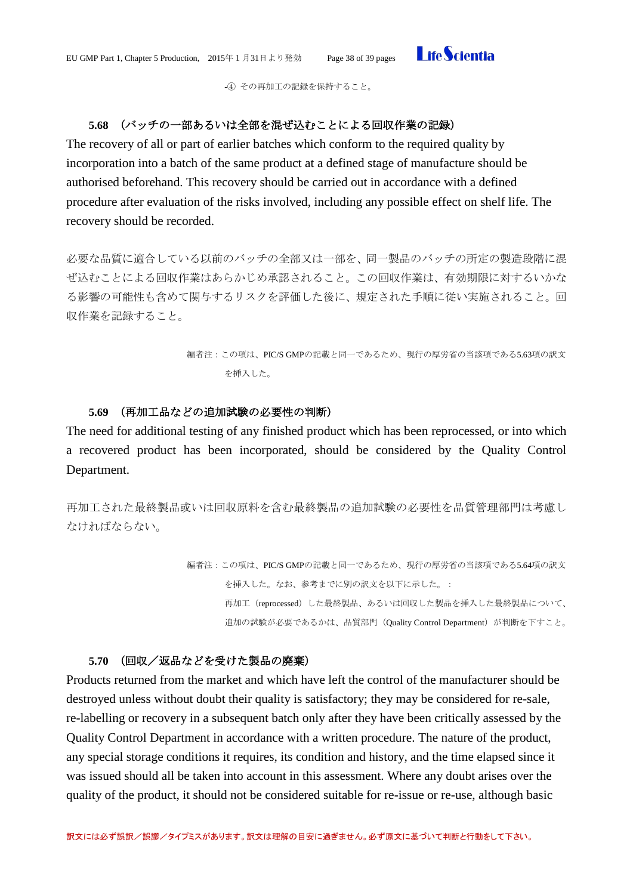

-④ その再加工の記録を保持すること。

# <span id="page-37-0"></span>**5.68** (バッチの一部あるいは全部を混ぜ込むことによる回収作業の記録)

The recovery of all or part of earlier batches which conform to the required quality by incorporation into a batch of the same product at a defined stage of manufacture should be authorised beforehand. This recovery should be carried out in accordance with a defined procedure after evaluation of the risks involved, including any possible effect on shelf life. The recovery should be recorded.

必要な品質に適合している以前のバッチの全部又は一部を、同一製品のバッチの所定の製造段階に混 ぜ込むことによる回収作業はあらかじめ承認されること。この回収作業は、有効期限に対するいかな る影響の可能性も含めて関与するリスクを評価した後に、規定された手順に従い実施されること。回 収作業を記録すること。

> 編者注:この項は、PIC/S GMPの記載と同一であるため、現行の厚労省の当該項である5.63項の訳文 を挿入した。

#### **5.69** (再加工品などの追加試験の必要性の判断)

<span id="page-37-1"></span>The need for additional testing of any finished product which has been reprocessed, or into which a recovered product has been incorporated, should be considered by the Quality Control Department.

再加工された最終製品或いは回収原料を含む最終製品の追加試験の必要性を品質管理部門は考慮し なければならない。

> 編者注:この項は、PIC/S GMPの記載と同一であるため、現行の厚労省の当該項である5.64項の訳文 を挿入した。なお、参考までに別の訳文を以下に示した。: 再加工(reprocessed)した最終製品、あるいは回収した製品を挿入した最終製品について、 追加の試験が必要であるかは、品質部門 (Quality Control Department) が判断を下すこと。

# **5.70** (回収/返品などを受けた製品の廃棄)

<span id="page-37-2"></span>Products returned from the market and which have left the control of the manufacturer should be destroyed unless without doubt their quality is satisfactory; they may be considered for re-sale, re-labelling or recovery in a subsequent batch only after they have been critically assessed by the Quality Control Department in accordance with a written procedure. The nature of the product, any special storage conditions it requires, its condition and history, and the time elapsed since it was issued should all be taken into account in this assessment. Where any doubt arises over the quality of the product, it should not be considered suitable for re-issue or re-use, although basic